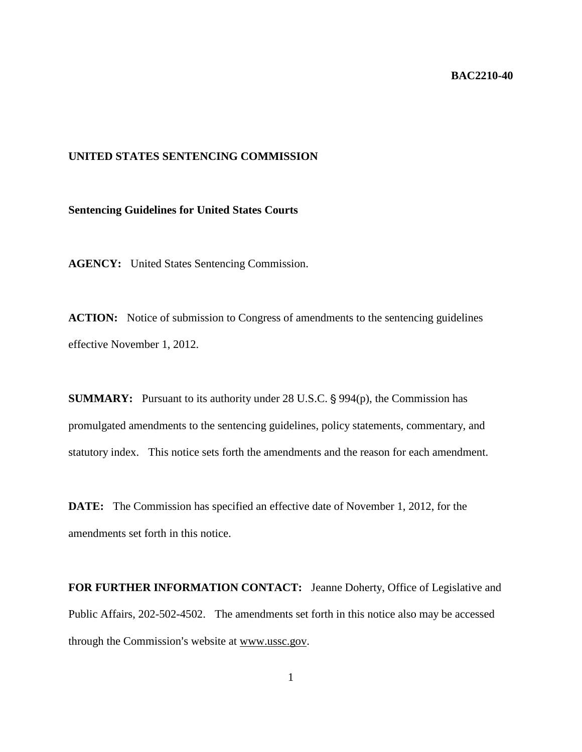### **BAC2210-40**

# **UNITED STATES SENTENCING COMMISSION**

### **Sentencing Guidelines for United States Courts**

**AGENCY:** United States Sentencing Commission.

ACTION: Notice of submission to Congress of amendments to the sentencing guidelines effective November 1, 2012.

**SUMMARY:** Pursuant to its authority under 28 U.S.C. § 994(p), the Commission has promulgated amendments to the sentencing guidelines, policy statements, commentary, and statutory index. This notice sets forth the amendments and the reason for each amendment.

**DATE:** The Commission has specified an effective date of November 1, 2012, for the amendments set forth in this notice.

**FOR FURTHER INFORMATION CONTACT:** Jeanne Doherty, Office of Legislative and Public Affairs, 202-502-4502. The amendments set forth in this notice also may be accessed through the Commission's website at www.ussc.gov.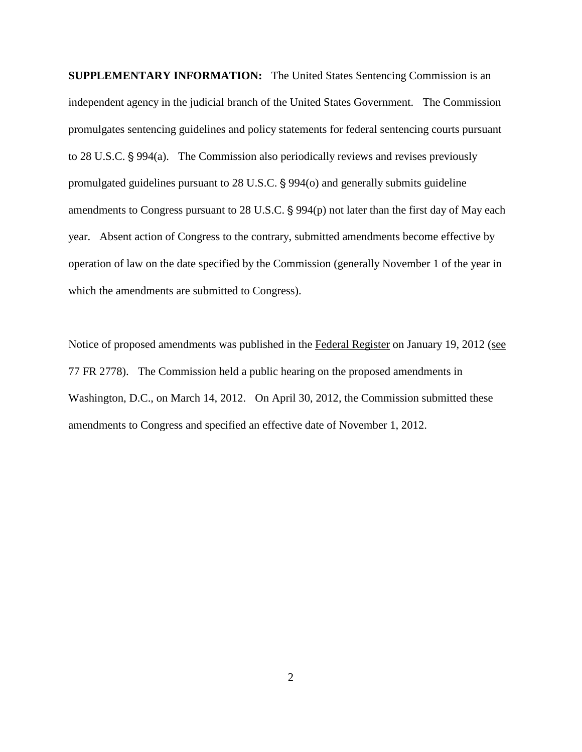**SUPPLEMENTARY INFORMATION:** The United States Sentencing Commission is an independent agency in the judicial branch of the United States Government. The Commission promulgates sentencing guidelines and policy statements for federal sentencing courts pursuant to  $28$  U.S.C.  $\S$  994(a). The Commission also periodically reviews and revises previously promulgated guidelines pursuant to  $28$  U.S.C.  $\S$  994(o) and generally submits guideline amendments to Congress pursuant to 28 U.S.C. § 994(p) not later than the first day of May each year. Absent action of Congress to the contrary, submitted amendments become effective by operation of law on the date specified by the Commission (generally November 1 of the year in which the amendments are submitted to Congress).

Notice of proposed amendments was published in the Federal Register on January 19, 2012 (see 77 FR 2778). The Commission held a public hearing on the proposed amendments in Washington, D.C., on March 14, 2012. On April 30, 2012, the Commission submitted these amendments to Congress and specified an effective date of November 1, 2012.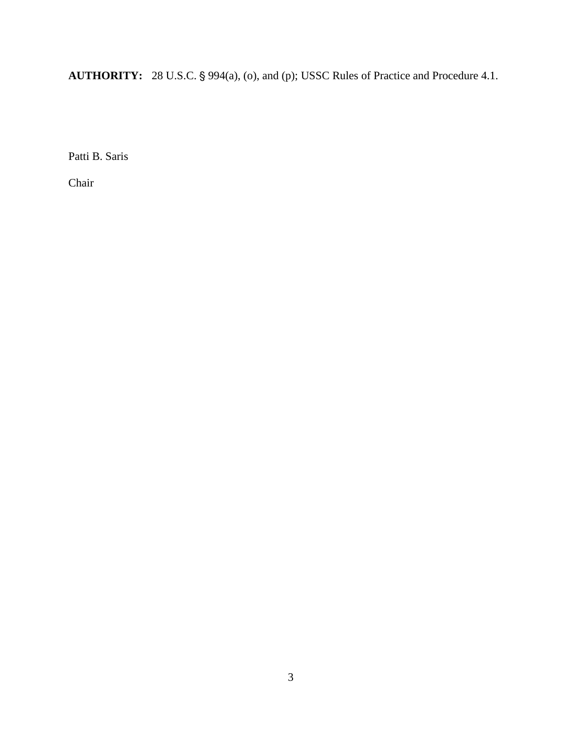**AUTHORITY:** 28 U.S.C. § 994(a), (o), and (p); USSC Rules of Practice and Procedure 4.1.

Patti B. Saris

Chair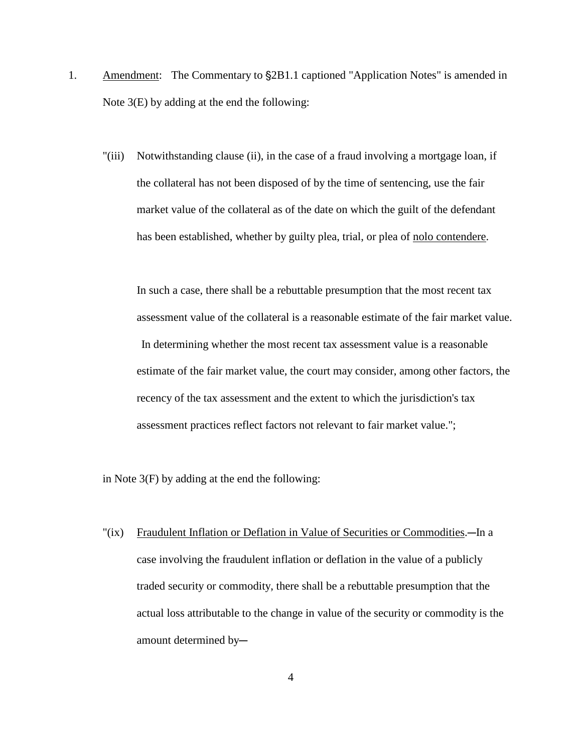- 1. Amendment: The Commentary to  $\S 2B1.1$  captioned "Application Notes" is amended in Note 3(E) by adding at the end the following:
	- "(iii) Notwithstanding clause (ii), in the case of a fraud involving a mortgage loan, if the collateral has not been disposed of by the time of sentencing, use the fair market value of the collateral as of the date on which the guilt of the defendant has been established, whether by guilty plea, trial, or plea of nolo contendere.

In such a case, there shall be a rebuttable presumption that the most recent tax assessment value of the collateral is a reasonable estimate of the fair market value. In determining whether the most recent tax assessment value is a reasonable estimate of the fair market value, the court may consider, among other factors, the recency of the tax assessment and the extent to which the jurisdiction's tax assessment practices reflect factors not relevant to fair market value.";

in Note 3(F) by adding at the end the following:

"(ix) Fraudulent Inflation or Deflation in Value of Securities or Commodities.—In a case involving the fraudulent inflation or deflation in the value of a publicly traded security or commodity, there shall be a rebuttable presumption that the actual loss attributable to the change in value of the security or commodity is the amount determined by-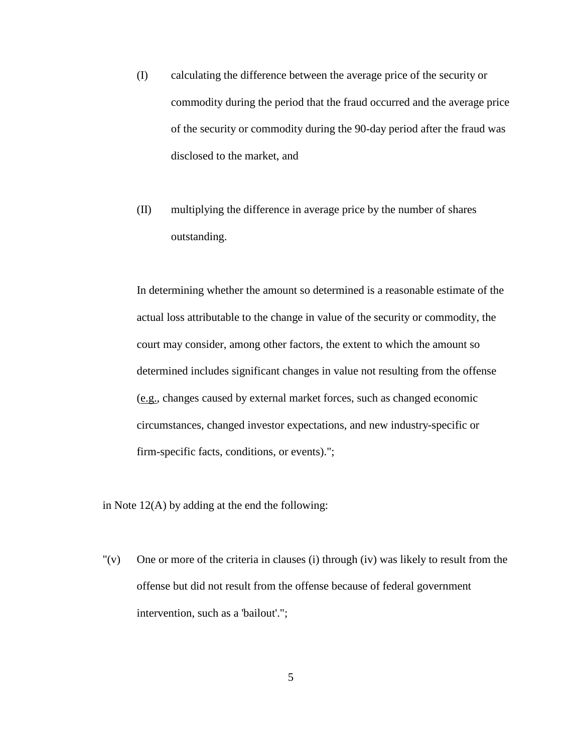- (I) calculating the difference between the average price of the security or commodity during the period that the fraud occurred and the average price of the security or commodity during the 90-day period after the fraud was disclosed to the market, and
- (II) multiplying the difference in average price by the number of shares outstanding.

In determining whether the amount so determined is a reasonable estimate of the actual loss attributable to the change in value of the security or commodity, the court may consider, among other factors, the extent to which the amount so determined includes significant changes in value not resulting from the offense (e.g., changes caused by external market forces, such as changed economic circumstances, changed investor expectations, and new industry-specific or firm-specific facts, conditions, or events).";

in Note 12(A) by adding at the end the following:

"(v) One or more of the criteria in clauses (i) through (iv) was likely to result from the offense but did not result from the offense because of federal government intervention, such as a 'bailout'.";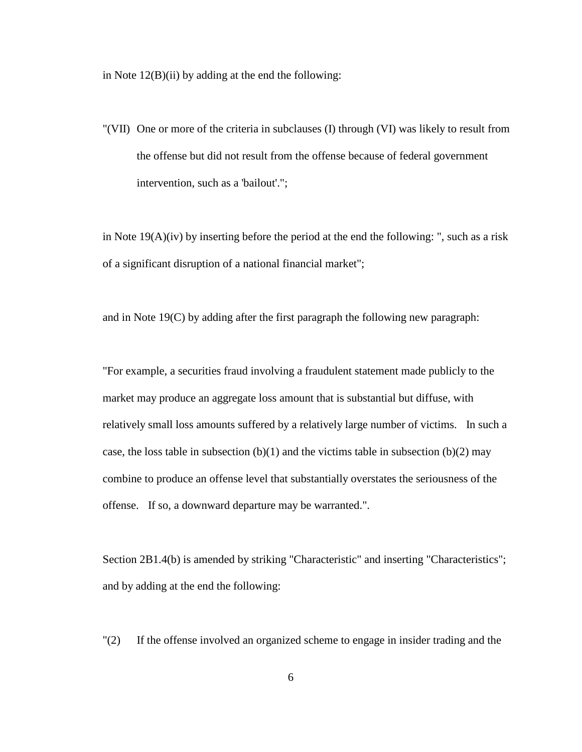in Note 12(B)(ii) by adding at the end the following:

"(VII) One or more of the criteria in subclauses (I) through (VI) was likely to result from the offense but did not result from the offense because of federal government intervention, such as a 'bailout'.";

in Note 19(A)(iv) by inserting before the period at the end the following: ", such as a risk of a significant disruption of a national financial market";

and in Note 19(C) by adding after the first paragraph the following new paragraph:

"For example, a securities fraud involving a fraudulent statement made publicly to the market may produce an aggregate loss amount that is substantial but diffuse, with relatively small loss amounts suffered by a relatively large number of victims. In such a case, the loss table in subsection  $(b)(1)$  and the victims table in subsection  $(b)(2)$  may combine to produce an offense level that substantially overstates the seriousness of the offense. If so, a downward departure may be warranted.".

Section 2B1.4(b) is amended by striking "Characteristic" and inserting "Characteristics"; and by adding at the end the following:

"(2) If the offense involved an organized scheme to engage in insider trading and the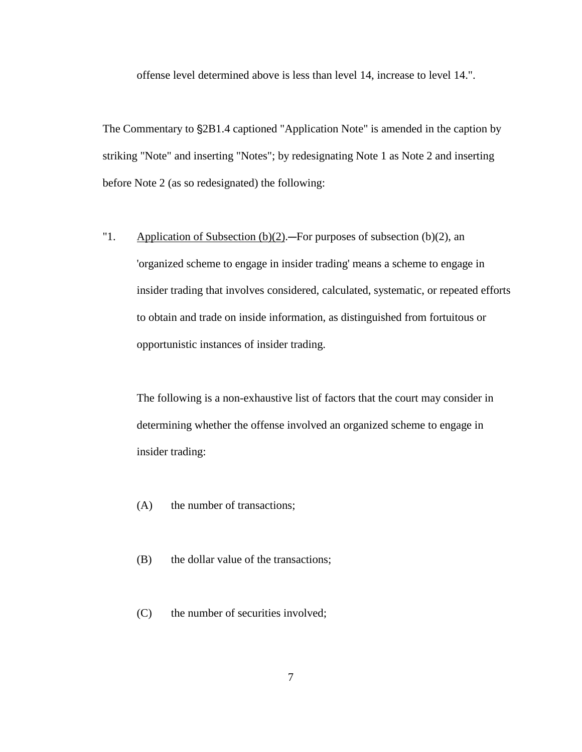offense level determined above is less than level 14, increase to level 14.".

The Commentary to  $\S 2B1.4$  captioned "Application Note" is amended in the caption by striking "Note" and inserting "Notes"; by redesignating Note 1 as Note 2 and inserting before Note 2 (as so redesignated) the following:

"1. Application of Subsection  $(b)(2)$ . For purposes of subsection (b)(2), an 'organized scheme to engage in insider trading' means a scheme to engage in insider trading that involves considered, calculated, systematic, or repeated efforts to obtain and trade on inside information, as distinguished from fortuitous or opportunistic instances of insider trading.

The following is a non-exhaustive list of factors that the court may consider in determining whether the offense involved an organized scheme to engage in insider trading:

- (A) the number of transactions;
- (B) the dollar value of the transactions;
- (C) the number of securities involved;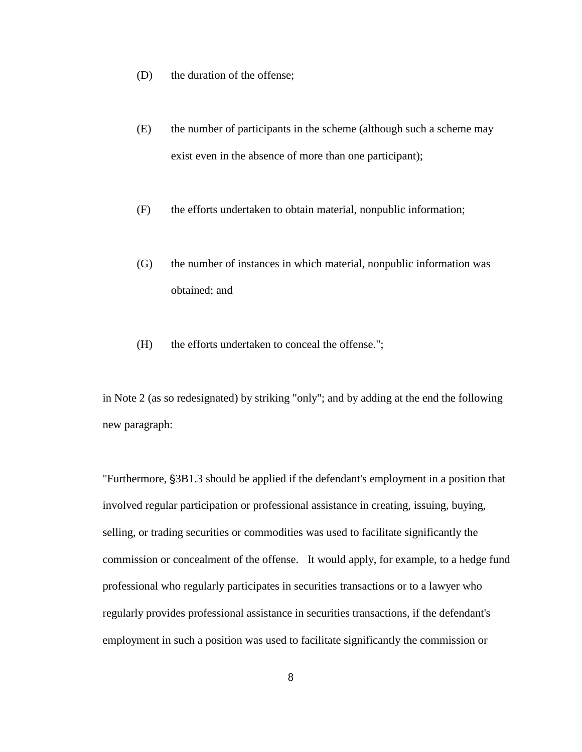- (D) the duration of the offense;
- (E) the number of participants in the scheme (although such a scheme may exist even in the absence of more than one participant);
- (F) the efforts undertaken to obtain material, nonpublic information;
- (G) the number of instances in which material, nonpublic information was obtained; and
- (H) the efforts undertaken to conceal the offense.";

in Note 2 (as so redesignated) by striking "only"; and by adding at the end the following new paragraph:

"Furthermore,  $\S 3B1.3$  should be applied if the defendant's employment in a position that involved regular participation or professional assistance in creating, issuing, buying, selling, or trading securities or commodities was used to facilitate significantly the commission or concealment of the offense. It would apply, for example, to a hedge fund professional who regularly participates in securities transactions or to a lawyer who regularly provides professional assistance in securities transactions, if the defendant's employment in such a position was used to facilitate significantly the commission or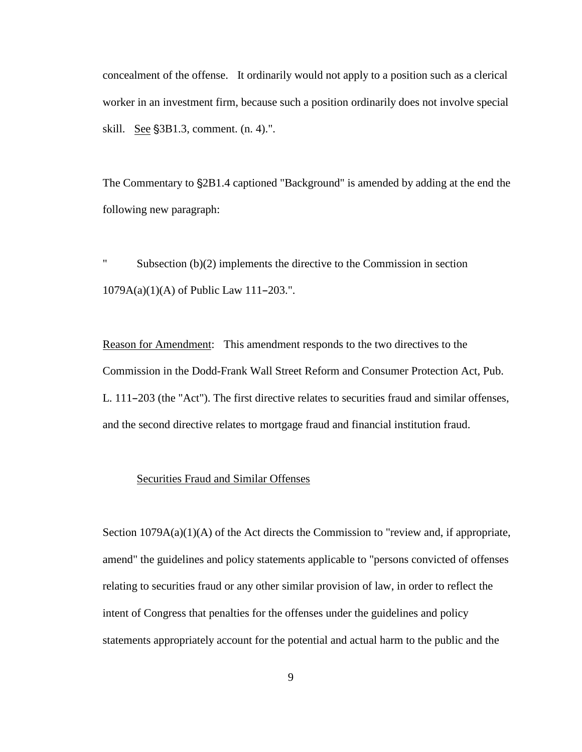concealment of the offense. It ordinarily would not apply to a position such as a clerical worker in an investment firm, because such a position ordinarily does not involve special skill. See  $\S$ 3B1.3, comment.  $(n. 4)$ .".

The Commentary to  $\S 2B1.4$  captioned "Background" is amended by adding at the end the following new paragraph:

" Subsection (b)(2) implements the directive to the Commission in section  $1079A(a)(1)(A)$  of Public Law 111-203.".

Reason for Amendment: This amendment responds to the two directives to the Commission in the Dodd-Frank Wall Street Reform and Consumer Protection Act, Pub. L.  $111-203$  (the "Act"). The first directive relates to securities fraud and similar offenses, and the second directive relates to mortgage fraud and financial institution fraud.

#### Securities Fraud and Similar Offenses

Section 1079A(a)(1)(A) of the Act directs the Commission to "review and, if appropriate, amend" the guidelines and policy statements applicable to "persons convicted of offenses relating to securities fraud or any other similar provision of law, in order to reflect the intent of Congress that penalties for the offenses under the guidelines and policy statements appropriately account for the potential and actual harm to the public and the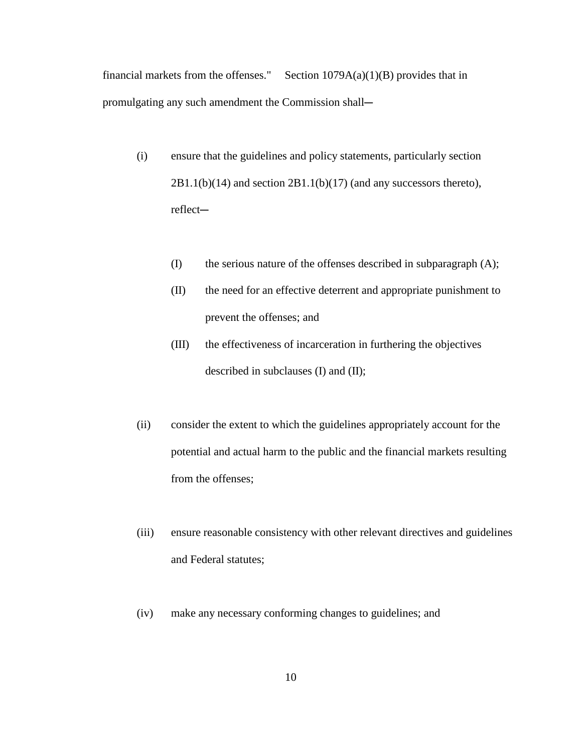financial markets from the offenses." Section  $1079A(a)(1)(B)$  provides that in promulgating any such amendment the Commission shall-

- (i) ensure that the guidelines and policy statements, particularly section  $2B1.1(b)(14)$  and section  $2B1.1(b)(17)$  (and any successors thereto), reflect-
	- (I) the serious nature of the offenses described in subparagraph (A);
	- (II) the need for an effective deterrent and appropriate punishment to prevent the offenses; and
	- (III) the effectiveness of incarceration in furthering the objectives described in subclauses (I) and (II);
- (ii) consider the extent to which the guidelines appropriately account for the potential and actual harm to the public and the financial markets resulting from the offenses;
- (iii) ensure reasonable consistency with other relevant directives and guidelines and Federal statutes;
- (iv) make any necessary conforming changes to guidelines; and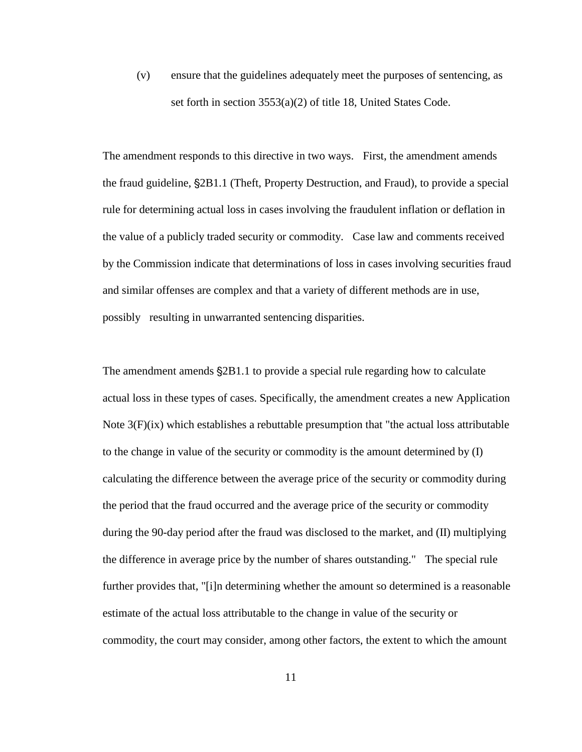(v) ensure that the guidelines adequately meet the purposes of sentencing, as set forth in section 3553(a)(2) of title 18, United States Code.

The amendment responds to this directive in two ways. First, the amendment amends the fraud guideline,  $\S 2B1.1$  (Theft, Property Destruction, and Fraud), to provide a special rule for determining actual loss in cases involving the fraudulent inflation or deflation in the value of a publicly traded security or commodity. Case law and comments received by the Commission indicate that determinations of loss in cases involving securities fraud and similar offenses are complex and that a variety of different methods are in use, possibly resulting in unwarranted sentencing disparities.

The amendment amends  $\S 2B1.1$  to provide a special rule regarding how to calculate actual loss in these types of cases. Specifically, the amendment creates a new Application Note  $3(F)(ix)$  which establishes a rebuttable presumption that "the actual loss attributable to the change in value of the security or commodity is the amount determined by (I) calculating the difference between the average price of the security or commodity during the period that the fraud occurred and the average price of the security or commodity during the 90-day period after the fraud was disclosed to the market, and (II) multiplying the difference in average price by the number of shares outstanding." The special rule further provides that, "[i]n determining whether the amount so determined is a reasonable estimate of the actual loss attributable to the change in value of the security or commodity, the court may consider, among other factors, the extent to which the amount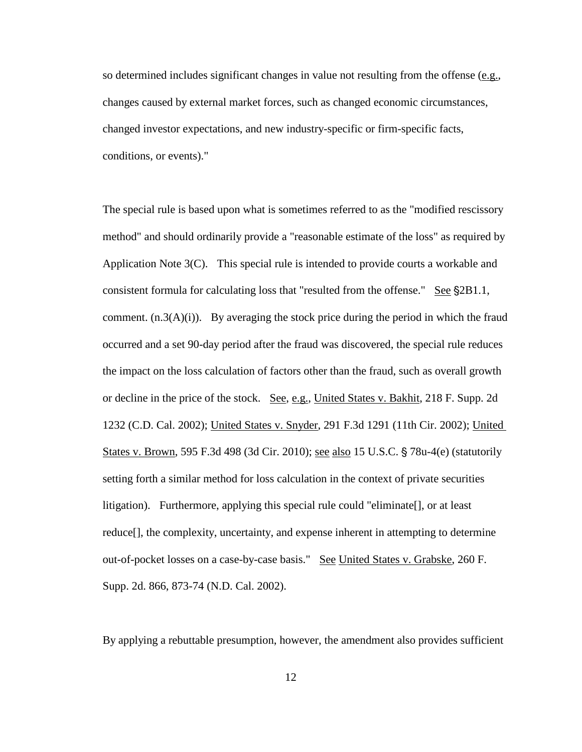so determined includes significant changes in value not resulting from the offense ( $e.g.,$ ) changes caused by external market forces, such as changed economic circumstances, changed investor expectations, and new industry-specific or firm-specific facts, conditions, or events)."

The special rule is based upon what is sometimes referred to as the "modified rescissory method" and should ordinarily provide a "reasonable estimate of the loss" as required by Application Note 3(C). This special rule is intended to provide courts a workable and consistent formula for calculating loss that "resulted from the offense." See  $\S 2B1.1$ , comment.  $(n.3(A)(i))$ . By averaging the stock price during the period in which the fraud occurred and a set 90-day period after the fraud was discovered, the special rule reduces the impact on the loss calculation of factors other than the fraud, such as overall growth or decline in the price of the stock. See, e.g., United States v. Bakhit, 218 F. Supp. 2d 1232 (C.D. Cal. 2002); United States v. Snyder, 291 F.3d 1291 (11th Cir. 2002); United States v. Brown, 595 F.3d 498 (3d Cir. 2010); see also 15 U.S.C.  $\frac{5}{9}$  78u-4(e) (statutorily setting forth a similar method for loss calculation in the context of private securities litigation). Furthermore, applying this special rule could "eliminate[], or at least reduce[], the complexity, uncertainty, and expense inherent in attempting to determine out-of-pocket losses on a case-by-case basis." See United States v. Grabske, 260 F. Supp. 2d. 866, 873-74 (N.D. Cal. 2002).

By applying a rebuttable presumption, however, the amendment also provides sufficient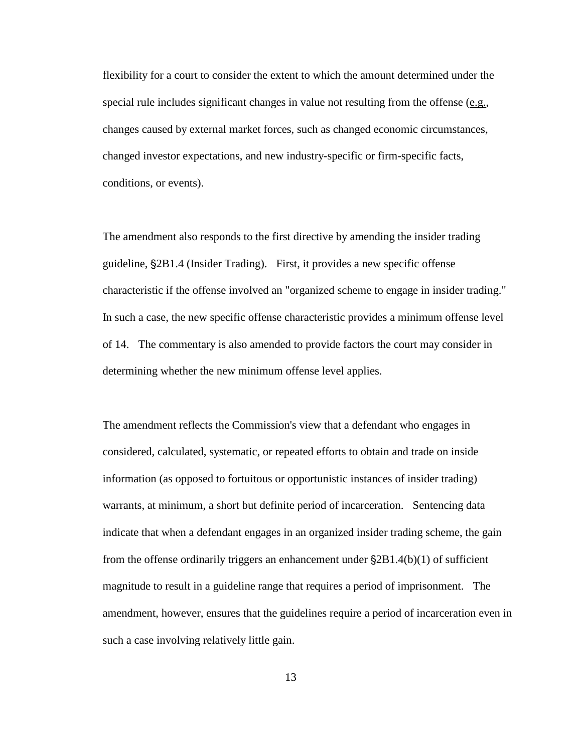flexibility for a court to consider the extent to which the amount determined under the special rule includes significant changes in value not resulting from the offense  $(e.g.,)$ changes caused by external market forces, such as changed economic circumstances, changed investor expectations, and new industry-specific or firm-specific facts, conditions, or events).

The amendment also responds to the first directive by amending the insider trading guideline, '2B1.4 (Insider Trading). First, it provides a new specific offense characteristic if the offense involved an "organized scheme to engage in insider trading." In such a case, the new specific offense characteristic provides a minimum offense level of 14. The commentary is also amended to provide factors the court may consider in determining whether the new minimum offense level applies.

The amendment reflects the Commission's view that a defendant who engages in considered, calculated, systematic, or repeated efforts to obtain and trade on inside information (as opposed to fortuitous or opportunistic instances of insider trading) warrants, at minimum, a short but definite period of incarceration. Sentencing data indicate that when a defendant engages in an organized insider trading scheme, the gain from the offense ordinarily triggers an enhancement under  $\S 2B1.4(b)(1)$  of sufficient magnitude to result in a guideline range that requires a period of imprisonment. The amendment, however, ensures that the guidelines require a period of incarceration even in such a case involving relatively little gain.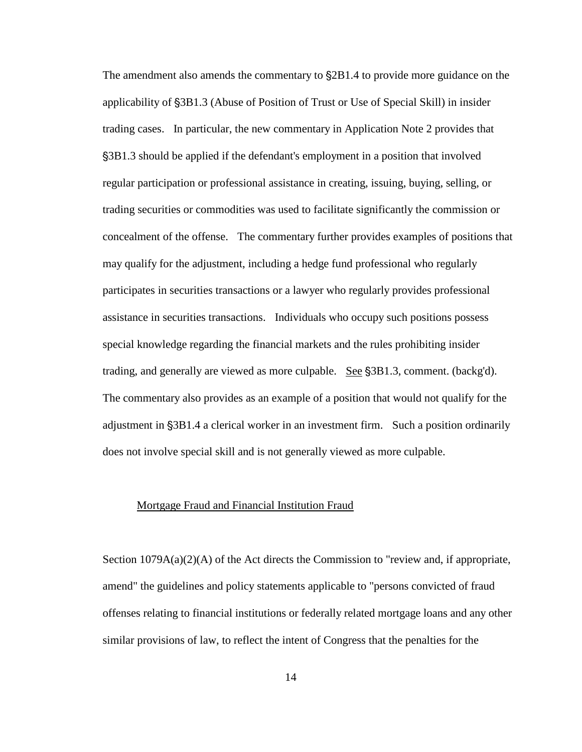The amendment also amends the commentary to  $\S2B1.4$  to provide more guidance on the applicability of '3B1.3 (Abuse of Position of Trust or Use of Special Skill) in insider trading cases. In particular, the new commentary in Application Note 2 provides that '3B1.3 should be applied if the defendant's employment in a position that involved regular participation or professional assistance in creating, issuing, buying, selling, or trading securities or commodities was used to facilitate significantly the commission or concealment of the offense. The commentary further provides examples of positions that may qualify for the adjustment, including a hedge fund professional who regularly participates in securities transactions or a lawyer who regularly provides professional assistance in securities transactions. Individuals who occupy such positions possess special knowledge regarding the financial markets and the rules prohibiting insider trading, and generally are viewed as more culpable. See  $\S 3B1.3$ , comment. (backg'd). The commentary also provides as an example of a position that would not qualify for the adjustment in  $\S 3B1.4$  a clerical worker in an investment firm. Such a position ordinarily does not involve special skill and is not generally viewed as more culpable.

#### Mortgage Fraud and Financial Institution Fraud

Section  $1079A(a)(2)(A)$  of the Act directs the Commission to "review and, if appropriate, amend" the guidelines and policy statements applicable to "persons convicted of fraud offenses relating to financial institutions or federally related mortgage loans and any other similar provisions of law, to reflect the intent of Congress that the penalties for the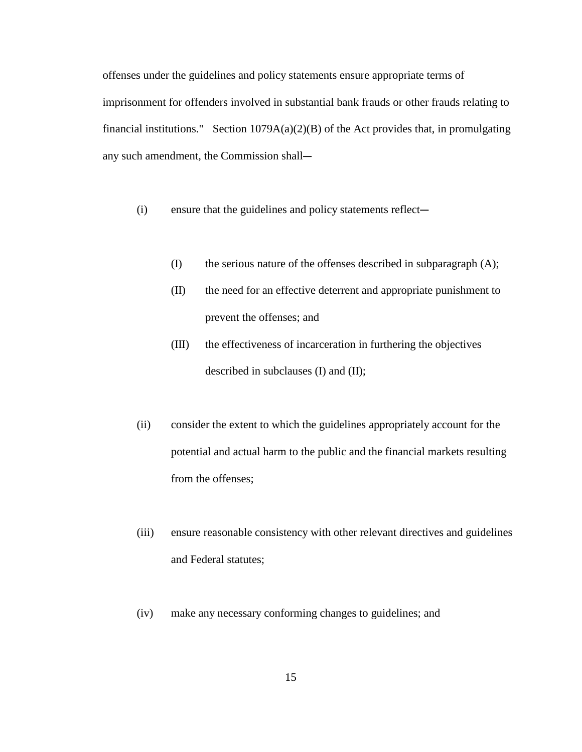offenses under the guidelines and policy statements ensure appropriate terms of imprisonment for offenders involved in substantial bank frauds or other frauds relating to financial institutions." Section  $1079A(a)(2)(B)$  of the Act provides that, in promulgating any such amendment, the Commission shall-

 $(i)$  ensure that the guidelines and policy statements reflect—

- (I) the serious nature of the offenses described in subparagraph (A);
- (II) the need for an effective deterrent and appropriate punishment to prevent the offenses; and
- (III) the effectiveness of incarceration in furthering the objectives described in subclauses (I) and (II);
- (ii) consider the extent to which the guidelines appropriately account for the potential and actual harm to the public and the financial markets resulting from the offenses;
- (iii) ensure reasonable consistency with other relevant directives and guidelines and Federal statutes;
- (iv) make any necessary conforming changes to guidelines; and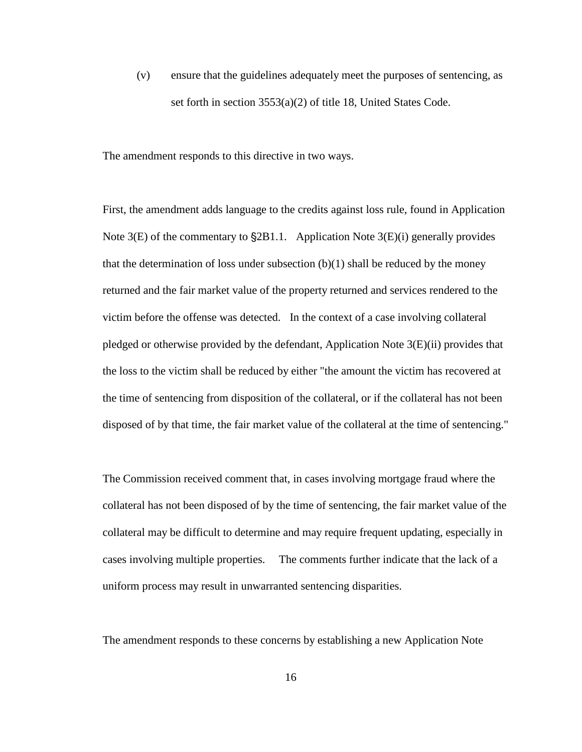(v) ensure that the guidelines adequately meet the purposes of sentencing, as set forth in section 3553(a)(2) of title 18, United States Code.

The amendment responds to this directive in two ways.

First, the amendment adds language to the credits against loss rule, found in Application Note  $3(E)$  of the commentary to  $\S 2B1.1$ . Application Note  $3(E)(i)$  generally provides that the determination of loss under subsection  $(b)(1)$  shall be reduced by the money returned and the fair market value of the property returned and services rendered to the victim before the offense was detected. In the context of a case involving collateral pledged or otherwise provided by the defendant, Application Note 3(E)(ii) provides that the loss to the victim shall be reduced by either "the amount the victim has recovered at the time of sentencing from disposition of the collateral, or if the collateral has not been disposed of by that time, the fair market value of the collateral at the time of sentencing."

The Commission received comment that, in cases involving mortgage fraud where the collateral has not been disposed of by the time of sentencing, the fair market value of the collateral may be difficult to determine and may require frequent updating, especially in cases involving multiple properties. The comments further indicate that the lack of a uniform process may result in unwarranted sentencing disparities.

The amendment responds to these concerns by establishing a new Application Note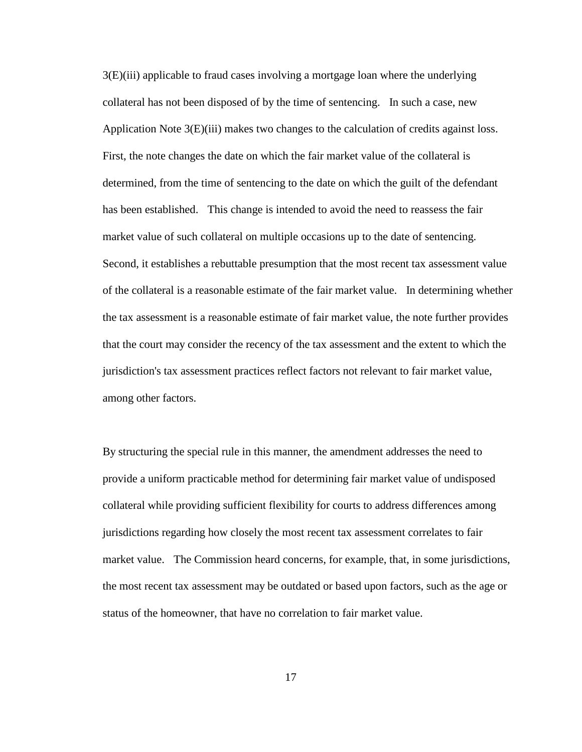3(E)(iii) applicable to fraud cases involving a mortgage loan where the underlying collateral has not been disposed of by the time of sentencing. In such a case, new Application Note 3(E)(iii) makes two changes to the calculation of credits against loss. First, the note changes the date on which the fair market value of the collateral is determined, from the time of sentencing to the date on which the guilt of the defendant has been established. This change is intended to avoid the need to reassess the fair market value of such collateral on multiple occasions up to the date of sentencing. Second, it establishes a rebuttable presumption that the most recent tax assessment value of the collateral is a reasonable estimate of the fair market value. In determining whether the tax assessment is a reasonable estimate of fair market value, the note further provides that the court may consider the recency of the tax assessment and the extent to which the jurisdiction's tax assessment practices reflect factors not relevant to fair market value, among other factors.

By structuring the special rule in this manner, the amendment addresses the need to provide a uniform practicable method for determining fair market value of undisposed collateral while providing sufficient flexibility for courts to address differences among jurisdictions regarding how closely the most recent tax assessment correlates to fair market value. The Commission heard concerns, for example, that, in some jurisdictions, the most recent tax assessment may be outdated or based upon factors, such as the age or status of the homeowner, that have no correlation to fair market value.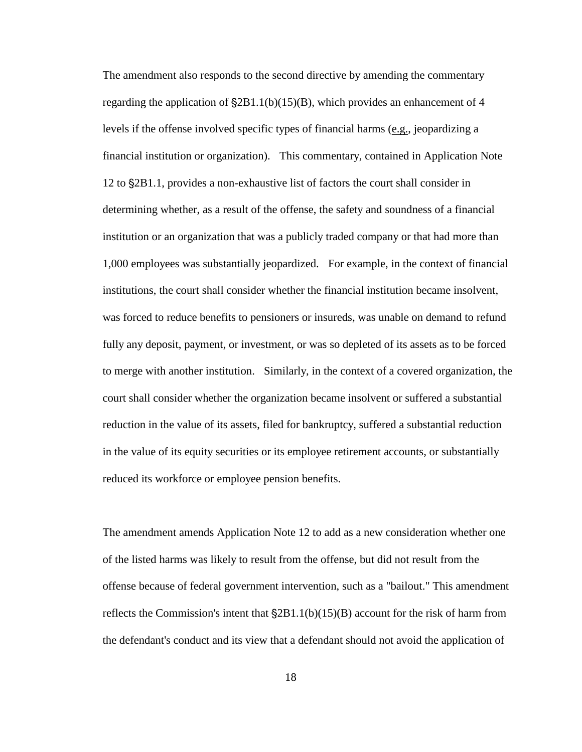The amendment also responds to the second directive by amending the commentary regarding the application of  $\S2B1.1(b)(15)(B)$ , which provides an enhancement of 4 levels if the offense involved specific types of financial harms  $(e.g.,)$  jeopardizing a financial institution or organization). This commentary, contained in Application Note 12 to '2B1.1, provides a non-exhaustive list of factors the court shall consider in determining whether, as a result of the offense, the safety and soundness of a financial institution or an organization that was a publicly traded company or that had more than 1,000 employees was substantially jeopardized. For example, in the context of financial institutions, the court shall consider whether the financial institution became insolvent, was forced to reduce benefits to pensioners or insureds, was unable on demand to refund fully any deposit, payment, or investment, or was so depleted of its assets as to be forced to merge with another institution. Similarly, in the context of a covered organization, the court shall consider whether the organization became insolvent or suffered a substantial reduction in the value of its assets, filed for bankruptcy, suffered a substantial reduction in the value of its equity securities or its employee retirement accounts, or substantially reduced its workforce or employee pension benefits.

The amendment amends Application Note 12 to add as a new consideration whether one of the listed harms was likely to result from the offense, but did not result from the offense because of federal government intervention, such as a "bailout." This amendment reflects the Commission's intent that  $\S 2B1.1(b)(15)(B)$  account for the risk of harm from the defendant's conduct and its view that a defendant should not avoid the application of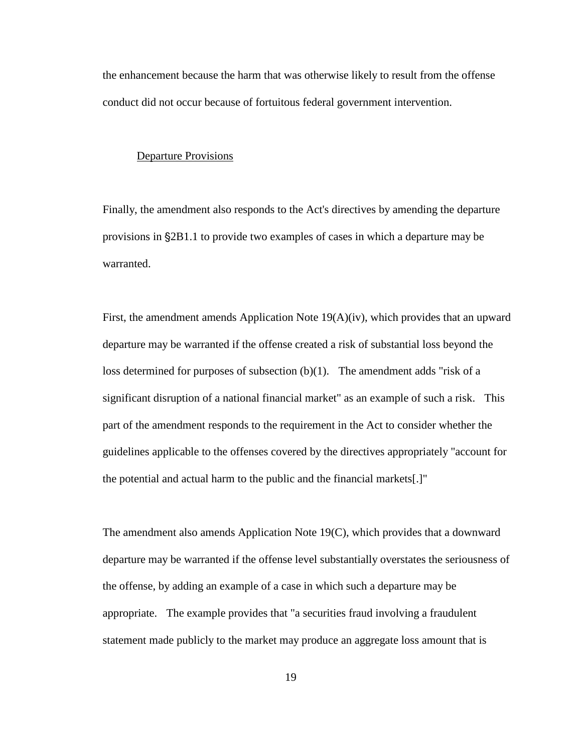the enhancement because the harm that was otherwise likely to result from the offense conduct did not occur because of fortuitous federal government intervention.

#### Departure Provisions

Finally, the amendment also responds to the Act's directives by amending the departure provisions in  $\S 2B1.1$  to provide two examples of cases in which a departure may be warranted.

First, the amendment amends Application Note 19(A)(iv), which provides that an upward departure may be warranted if the offense created a risk of substantial loss beyond the loss determined for purposes of subsection (b)(1). The amendment adds "risk of a significant disruption of a national financial market" as an example of such a risk. This part of the amendment responds to the requirement in the Act to consider whether the guidelines applicable to the offenses covered by the directives appropriately "account for the potential and actual harm to the public and the financial markets[.]"

The amendment also amends Application Note 19(C), which provides that a downward departure may be warranted if the offense level substantially overstates the seriousness of the offense, by adding an example of a case in which such a departure may be appropriate. The example provides that "a securities fraud involving a fraudulent statement made publicly to the market may produce an aggregate loss amount that is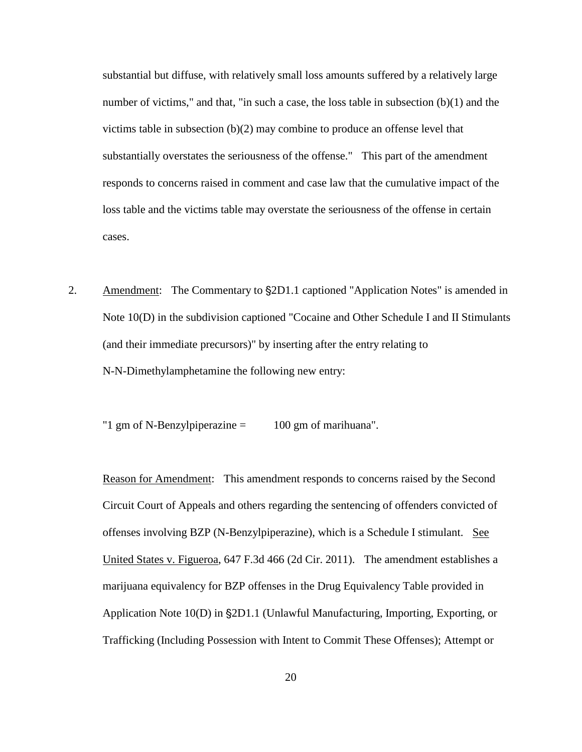substantial but diffuse, with relatively small loss amounts suffered by a relatively large number of victims," and that, "in such a case, the loss table in subsection (b)(1) and the victims table in subsection  $(b)(2)$  may combine to produce an offense level that substantially overstates the seriousness of the offense." This part of the amendment responds to concerns raised in comment and case law that the cumulative impact of the loss table and the victims table may overstate the seriousness of the offense in certain cases.

2. Amendment: The Commentary to  $\S2D1.1$  captioned "Application Notes" is amended in Note 10(D) in the subdivision captioned "Cocaine and Other Schedule I and II Stimulants (and their immediate precursors)" by inserting after the entry relating to N-N-Dimethylamphetamine the following new entry:

"1 gm of N-Benzylpiperazine = 100 gm of marihuana".

Reason for Amendment: This amendment responds to concerns raised by the Second Circuit Court of Appeals and others regarding the sentencing of offenders convicted of offenses involving BZP (N-Benzylpiperazine), which is a Schedule I stimulant. See United States v. Figueroa, 647 F.3d 466 (2d Cir. 2011). The amendment establishes a marijuana equivalency for BZP offenses in the Drug Equivalency Table provided in Application Note 10(D) in §2D1.1 (Unlawful Manufacturing, Importing, Exporting, or Trafficking (Including Possession with Intent to Commit These Offenses); Attempt or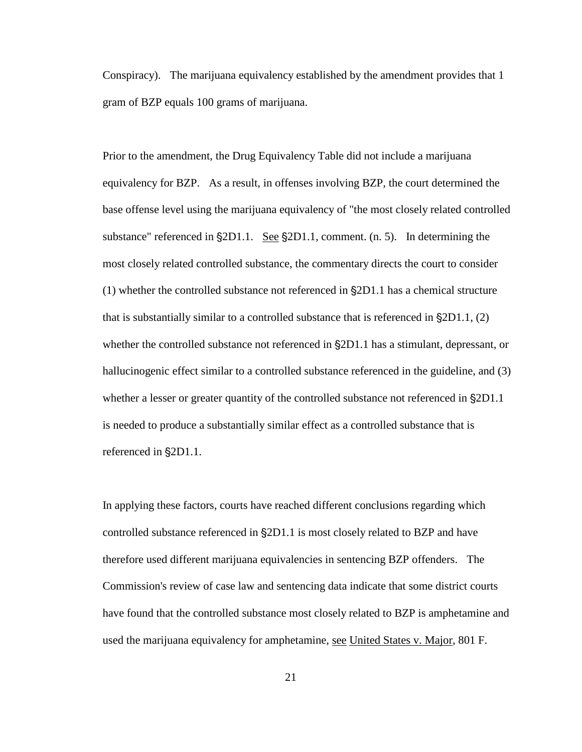Conspiracy). The marijuana equivalency established by the amendment provides that 1 gram of BZP equals 100 grams of marijuana.

Prior to the amendment, the Drug Equivalency Table did not include a marijuana equivalency for BZP. As a result, in offenses involving BZP, the court determined the base offense level using the marijuana equivalency of "the most closely related controlled substance" referenced in  $\S 2D1.1$ . See  $\S 2D1.1$ , comment. (n. 5). In determining the most closely related controlled substance, the commentary directs the court to consider  $(1)$  whether the controlled substance not referenced in  $\S 2D1.1$  has a chemical structure that is substantially similar to a controlled substance that is referenced in  $\S2D1.1$ , (2) whether the controlled substance not referenced in  $\S2D1.1$  has a stimulant, depressant, or hallucinogenic effect similar to a controlled substance referenced in the guideline, and (3) whether a lesser or greater quantity of the controlled substance not referenced in  $\S2D1.1$ is needed to produce a substantially similar effect as a controlled substance that is referenced in  $\S2D1.1$ .

In applying these factors, courts have reached different conclusions regarding which controlled substance referenced in  $\S 2D1.1$  is most closely related to BZP and have therefore used different marijuana equivalencies in sentencing BZP offenders. The Commission's review of case law and sentencing data indicate that some district courts have found that the controlled substance most closely related to BZP is amphetamine and used the marijuana equivalency for amphetamine, see United States v. Major, 801 F.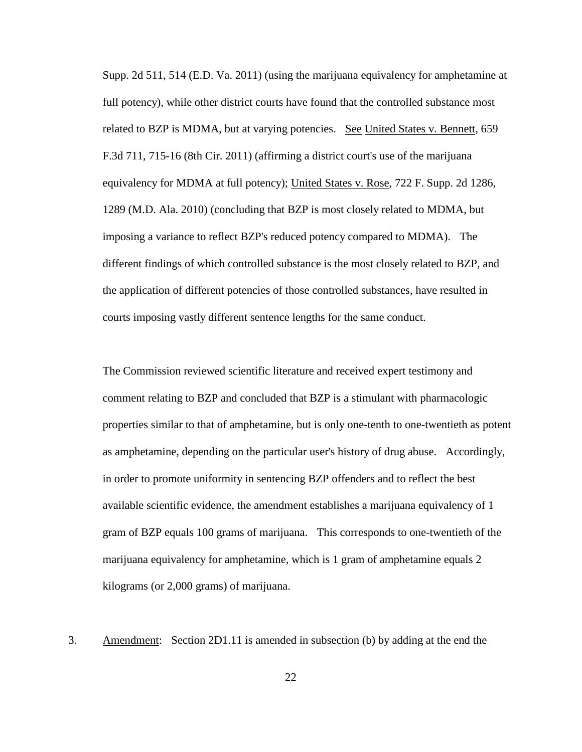Supp. 2d 511, 514 (E.D. Va. 2011) (using the marijuana equivalency for amphetamine at full potency), while other district courts have found that the controlled substance most related to BZP is MDMA, but at varying potencies. See United States v. Bennett, 659 F.3d 711, 715-16 (8th Cir. 2011) (affirming a district court's use of the marijuana equivalency for MDMA at full potency); United States v. Rose, 722 F. Supp. 2d 1286, 1289 (M.D. Ala. 2010) (concluding that BZP is most closely related to MDMA, but imposing a variance to reflect BZP's reduced potency compared to MDMA). The different findings of which controlled substance is the most closely related to BZP, and the application of different potencies of those controlled substances, have resulted in courts imposing vastly different sentence lengths for the same conduct.

The Commission reviewed scientific literature and received expert testimony and comment relating to BZP and concluded that BZP is a stimulant with pharmacologic properties similar to that of amphetamine, but is only one-tenth to one-twentieth as potent as amphetamine, depending on the particular user's history of drug abuse. Accordingly, in order to promote uniformity in sentencing BZP offenders and to reflect the best available scientific evidence, the amendment establishes a marijuana equivalency of 1 gram of BZP equals 100 grams of marijuana. This corresponds to one-twentieth of the marijuana equivalency for amphetamine, which is 1 gram of amphetamine equals 2 kilograms (or 2,000 grams) of marijuana.

3. Amendment: Section 2D1.11 is amended in subsection (b) by adding at the end the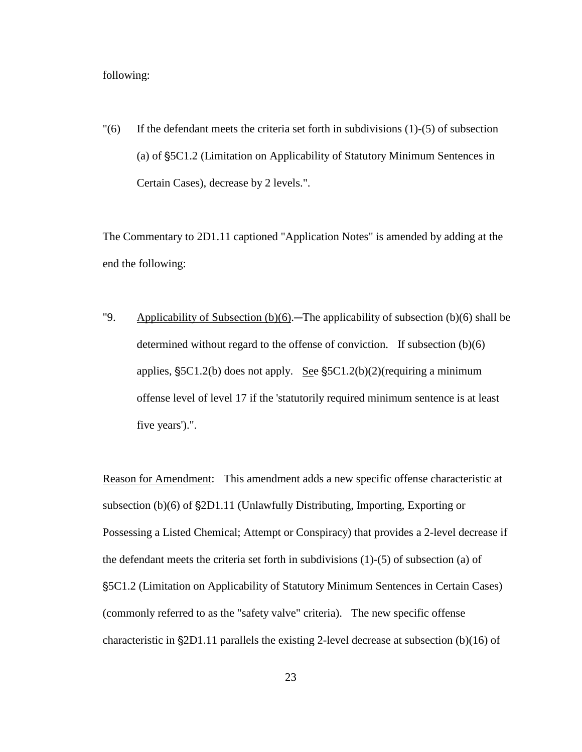# following:

 $\Gamma$ (6) If the defendant meets the criteria set forth in subdivisions (1)-(5) of subsection (a) of '5C1.2 (Limitation on Applicability of Statutory Minimum Sentences in Certain Cases), decrease by 2 levels.".

The Commentary to 2D1.11 captioned "Application Notes" is amended by adding at the end the following:

"9. Applicability of Subsection  $(b)(6)$ . The applicability of subsection  $(b)(6)$  shall be determined without regard to the offense of conviction. If subsection (b)(6) applies,  $S_5C1.2(b)$  does not apply. See  $S_5C1.2(b)(2)$ (requiring a minimum offense level of level 17 if the 'statutorily required minimum sentence is at least five years').".

Reason for Amendment: This amendment adds a new specific offense characteristic at subsection  $(b)(6)$  of  $\S2D1.11$  (Unlawfully Distributing, Importing, Exporting or Possessing a Listed Chemical; Attempt or Conspiracy) that provides a 2-level decrease if the defendant meets the criteria set forth in subdivisions (1)-(5) of subsection (a) of '5C1.2 (Limitation on Applicability of Statutory Minimum Sentences in Certain Cases) (commonly referred to as the "safety valve" criteria). The new specific offense characteristic in  $\S 2D1.11$  parallels the existing 2-level decrease at subsection (b)(16) of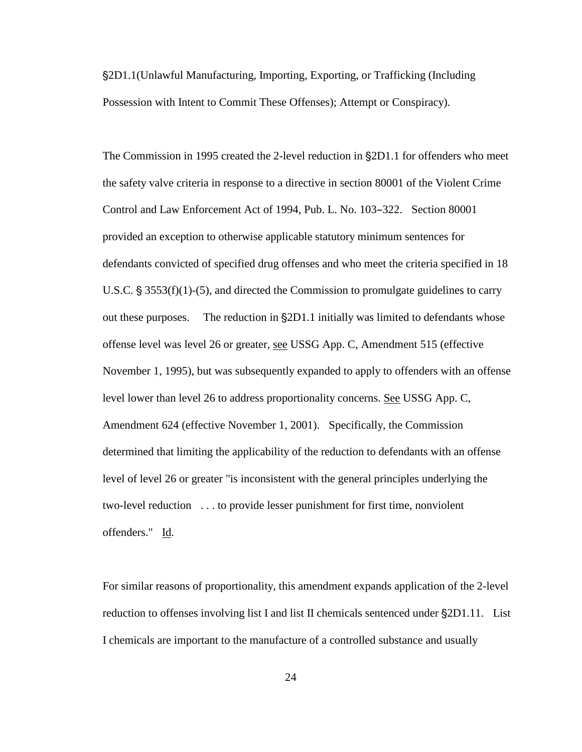'2D1.1(Unlawful Manufacturing, Importing, Exporting, or Trafficking (Including Possession with Intent to Commit These Offenses); Attempt or Conspiracy).

The Commission in 1995 created the 2-level reduction in  $\S2D1.1$  for offenders who meet the safety valve criteria in response to a directive in section 80001 of the Violent Crime Control and Law Enforcement Act of 1994, Pub. L. No. 103–322. Section 80001 provided an exception to otherwise applicable statutory minimum sentences for defendants convicted of specified drug offenses and who meet the criteria specified in 18 U.S.C.  $\S 3553(f)(1)-(5)$ , and directed the Commission to promulgate guidelines to carry out these purposes. The reduction in  $\S2D1.1$  initially was limited to defendants whose offense level was level 26 or greater, see USSG App. C, Amendment 515 (effective November 1, 1995), but was subsequently expanded to apply to offenders with an offense level lower than level 26 to address proportionality concerns. See USSG App. C, Amendment 624 (effective November 1, 2001). Specifically, the Commission determined that limiting the applicability of the reduction to defendants with an offense level of level 26 or greater "is inconsistent with the general principles underlying the two-level reduction . . . to provide lesser punishment for first time, nonviolent offenders." Id.

For similar reasons of proportionality, this amendment expands application of the 2-level reduction to offenses involving list I and list II chemicals sentenced under  $\S2D1.11$ . List I chemicals are important to the manufacture of a controlled substance and usually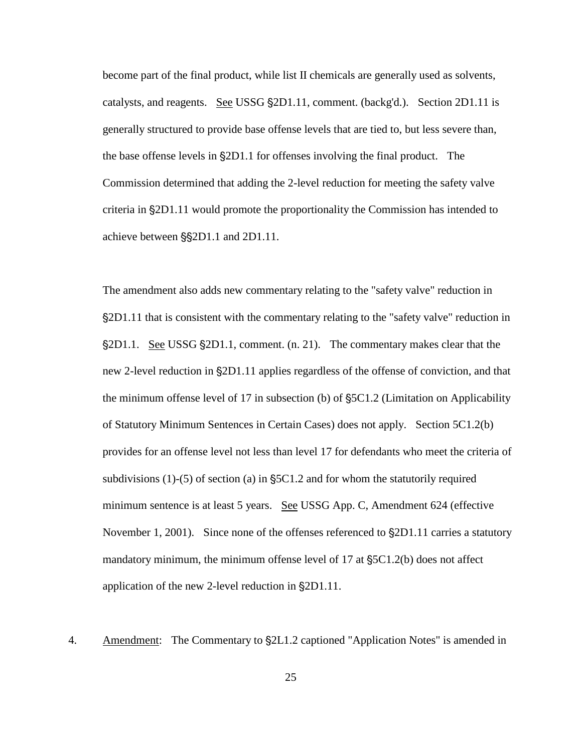become part of the final product, while list II chemicals are generally used as solvents, catalysts, and reagents. See USSG §2D1.11, comment. (backg'd.). Section 2D1.11 is generally structured to provide base offense levels that are tied to, but less severe than, the base offense levels in  $\S 2D1.1$  for offenses involving the final product. The Commission determined that adding the 2-level reduction for meeting the safety valve criteria in '2D1.11 would promote the proportionality the Commission has intended to achieve between  $\S$ S<sub>2</sub>D1.1 and 2D1.11.

The amendment also adds new commentary relating to the "safety valve" reduction in '2D1.11 that is consistent with the commentary relating to the "safety valve" reduction in \$2D1.1. See USSG \$2D1.1, comment. (n. 21). The commentary makes clear that the new 2-level reduction in  $\S 2D1.11$  applies regardless of the offense of conviction, and that the minimum offense level of 17 in subsection (b) of  $S_5C1.2$  (Limitation on Applicability of Statutory Minimum Sentences in Certain Cases) does not apply. Section 5C1.2(b) provides for an offense level not less than level 17 for defendants who meet the criteria of subdivisions  $(1)-(5)$  of section (a) in  $\S$ 5C1.2 and for whom the statutorily required minimum sentence is at least 5 years. See USSG App. C, Amendment 624 (effective November 1, 2001). Since none of the offenses referenced to  $\S2D1.11$  carries a statutory mandatory minimum, the minimum offense level of  $17$  at  $\S$ 5C1.2(b) does not affect application of the new 2-level reduction in  $\S 2D1.11$ .

4. Amendment: The Commentary to  $\S2L1.2$  captioned "Application Notes" is amended in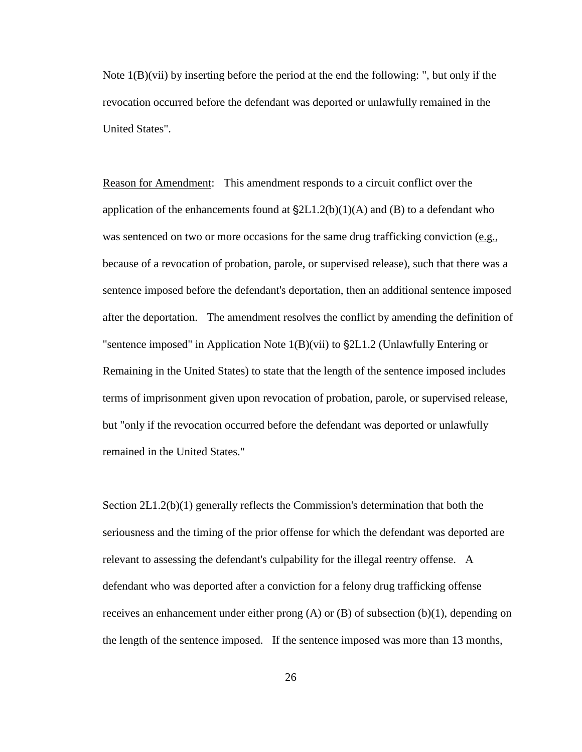Note 1(B)(vii) by inserting before the period at the end the following: ", but only if the revocation occurred before the defendant was deported or unlawfully remained in the United States".

Reason for Amendment: This amendment responds to a circuit conflict over the application of the enhancements found at  $\S2L1.2(b)(1)(A)$  and (B) to a defendant who was sentenced on two or more occasions for the same drug trafficking conviction (e.g., because of a revocation of probation, parole, or supervised release), such that there was a sentence imposed before the defendant's deportation, then an additional sentence imposed after the deportation. The amendment resolves the conflict by amending the definition of "sentence imposed" in Application Note  $1(B)(vii)$  to  $\S2L1.2$  (Unlawfully Entering or Remaining in the United States) to state that the length of the sentence imposed includes terms of imprisonment given upon revocation of probation, parole, or supervised release, but "only if the revocation occurred before the defendant was deported or unlawfully remained in the United States."

Section 2L1.2(b)(1) generally reflects the Commission's determination that both the seriousness and the timing of the prior offense for which the defendant was deported are relevant to assessing the defendant's culpability for the illegal reentry offense. A defendant who was deported after a conviction for a felony drug trafficking offense receives an enhancement under either prong  $(A)$  or  $(B)$  of subsection  $(b)(1)$ , depending on the length of the sentence imposed. If the sentence imposed was more than 13 months,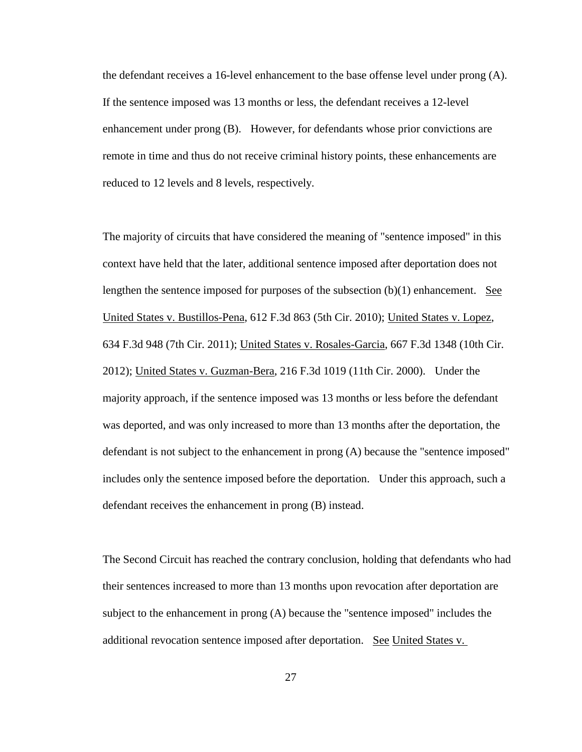the defendant receives a 16-level enhancement to the base offense level under prong (A). If the sentence imposed was 13 months or less, the defendant receives a 12-level enhancement under prong (B). However, for defendants whose prior convictions are remote in time and thus do not receive criminal history points, these enhancements are reduced to 12 levels and 8 levels, respectively.

The majority of circuits that have considered the meaning of "sentence imposed" in this context have held that the later, additional sentence imposed after deportation does not lengthen the sentence imposed for purposes of the subsection  $(b)(1)$  enhancement. See United States v. Bustillos-Pena, 612 F.3d 863 (5th Cir. 2010); United States v. Lopez, 634 F.3d 948 (7th Cir. 2011); United States v. Rosales-Garcia, 667 F.3d 1348 (10th Cir. 2012); United States v. Guzman-Bera, 216 F.3d 1019 (11th Cir. 2000). Under the majority approach, if the sentence imposed was 13 months or less before the defendant was deported, and was only increased to more than 13 months after the deportation, the defendant is not subject to the enhancement in prong (A) because the "sentence imposed" includes only the sentence imposed before the deportation. Under this approach, such a defendant receives the enhancement in prong (B) instead.

The Second Circuit has reached the contrary conclusion, holding that defendants who had their sentences increased to more than 13 months upon revocation after deportation are subject to the enhancement in prong (A) because the "sentence imposed" includes the additional revocation sentence imposed after deportation. See United States v.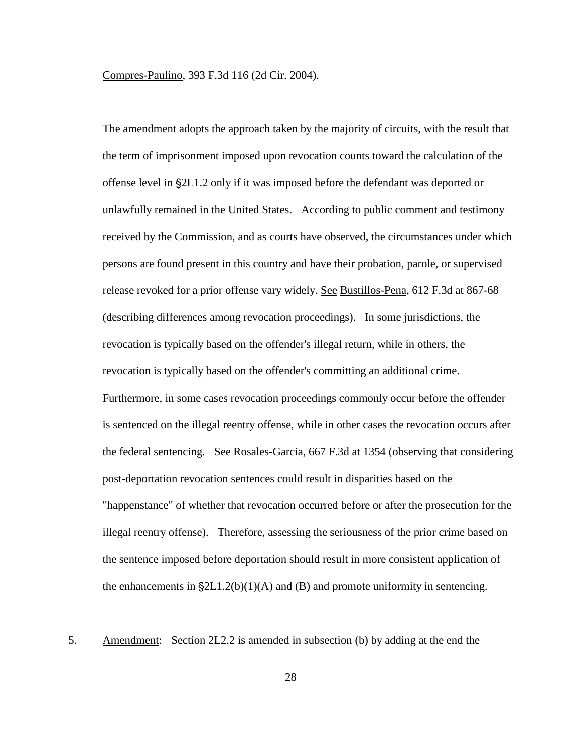Compres-Paulino, 393 F.3d 116 (2d Cir. 2004).

The amendment adopts the approach taken by the majority of circuits, with the result that the term of imprisonment imposed upon revocation counts toward the calculation of the offense level in  $\S 2L1.2$  only if it was imposed before the defendant was deported or unlawfully remained in the United States. According to public comment and testimony received by the Commission, and as courts have observed, the circumstances under which persons are found present in this country and have their probation, parole, or supervised release revoked for a prior offense vary widely. See Bustillos-Pena, 612 F.3d at 867-68 (describing differences among revocation proceedings). In some jurisdictions, the revocation is typically based on the offender's illegal return, while in others, the revocation is typically based on the offender's committing an additional crime. Furthermore, in some cases revocation proceedings commonly occur before the offender is sentenced on the illegal reentry offense, while in other cases the revocation occurs after the federal sentencing. See Rosales-Garcia, 667 F.3d at 1354 (observing that considering post-deportation revocation sentences could result in disparities based on the "happenstance" of whether that revocation occurred before or after the prosecution for the illegal reentry offense). Therefore, assessing the seriousness of the prior crime based on the sentence imposed before deportation should result in more consistent application of the enhancements in  $\S 2L1.2(b)(1)(A)$  and (B) and promote uniformity in sentencing.

5. Amendment: Section 2L2.2 is amended in subsection (b) by adding at the end the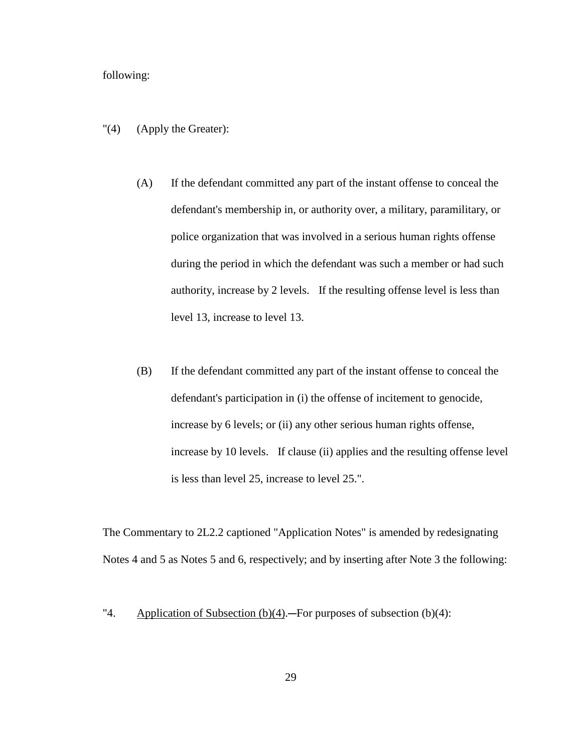## following:

- "(4) (Apply the Greater):
	- (A) If the defendant committed any part of the instant offense to conceal the defendant's membership in, or authority over, a military, paramilitary, or police organization that was involved in a serious human rights offense during the period in which the defendant was such a member or had such authority, increase by 2 levels. If the resulting offense level is less than level 13, increase to level 13.
	- (B) If the defendant committed any part of the instant offense to conceal the defendant's participation in (i) the offense of incitement to genocide, increase by 6 levels; or (ii) any other serious human rights offense, increase by 10 levels. If clause (ii) applies and the resulting offense level is less than level 25, increase to level 25.".

The Commentary to 2L2.2 captioned "Application Notes" is amended by redesignating Notes 4 and 5 as Notes 5 and 6, respectively; and by inserting after Note 3 the following:

<sup>&</sup>quot;4. Application of Subsection (b)(4).—For purposes of subsection (b)(4):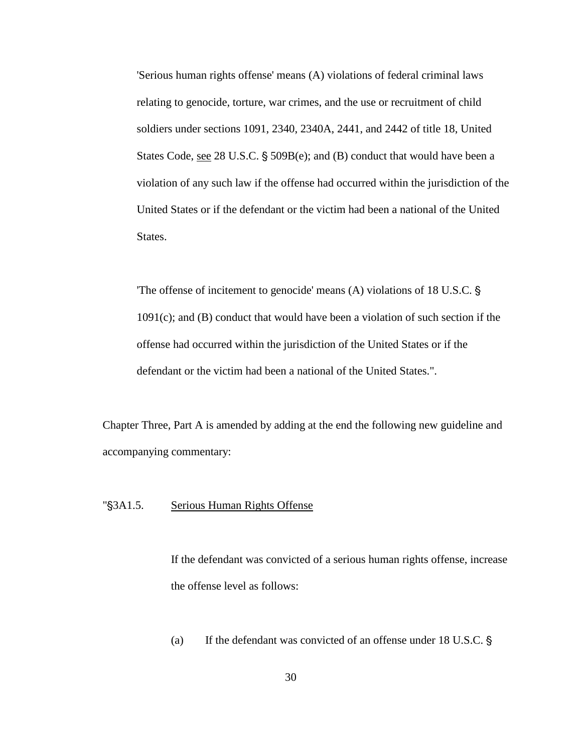'Serious human rights offense' means (A) violations of federal criminal laws relating to genocide, torture, war crimes, and the use or recruitment of child soldiers under sections 1091, 2340, 2340A, 2441, and 2442 of title 18, United States Code, see 28 U.S.C. § 509B(e); and (B) conduct that would have been a violation of any such law if the offense had occurred within the jurisdiction of the United States or if the defendant or the victim had been a national of the United States.

The offense of incitement to genocide' means  $(A)$  violations of 18 U.S.C. § 1091(c); and (B) conduct that would have been a violation of such section if the offense had occurred within the jurisdiction of the United States or if the defendant or the victim had been a national of the United States.".

Chapter Three, Part A is amended by adding at the end the following new guideline and accompanying commentary:

### "\\$3A1.5. Serious Human Rights Offense

If the defendant was convicted of a serious human rights offense, increase the offense level as follows:

(a) If the defendant was convicted of an offense under  $18$  U.S.C.  $\frac{1}{9}$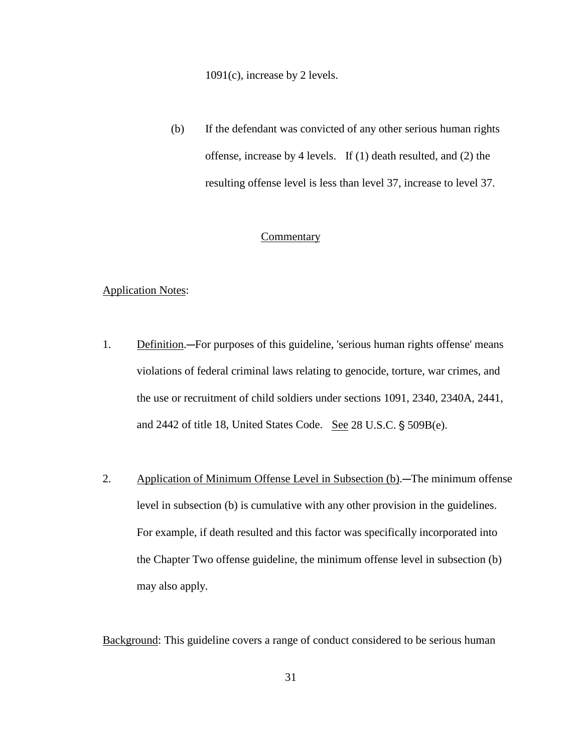1091(c), increase by 2 levels.

(b) If the defendant was convicted of any other serious human rights offense, increase by 4 levels. If (1) death resulted, and (2) the resulting offense level is less than level 37, increase to level 37.

# Commentary

# Application Notes:

- 1. Definition.—For purposes of this guideline, 'serious human rights offense' means violations of federal criminal laws relating to genocide, torture, war crimes, and the use or recruitment of child soldiers under sections 1091, 2340, 2340A, 2441, and 2442 of title 18, United States Code. See 28 U.S.C. § 509B(e).
- 2. Application of Minimum Offense Level in Subsection (b).—The minimum offense level in subsection (b) is cumulative with any other provision in the guidelines. For example, if death resulted and this factor was specifically incorporated into the Chapter Two offense guideline, the minimum offense level in subsection (b) may also apply.

Background: This guideline covers a range of conduct considered to be serious human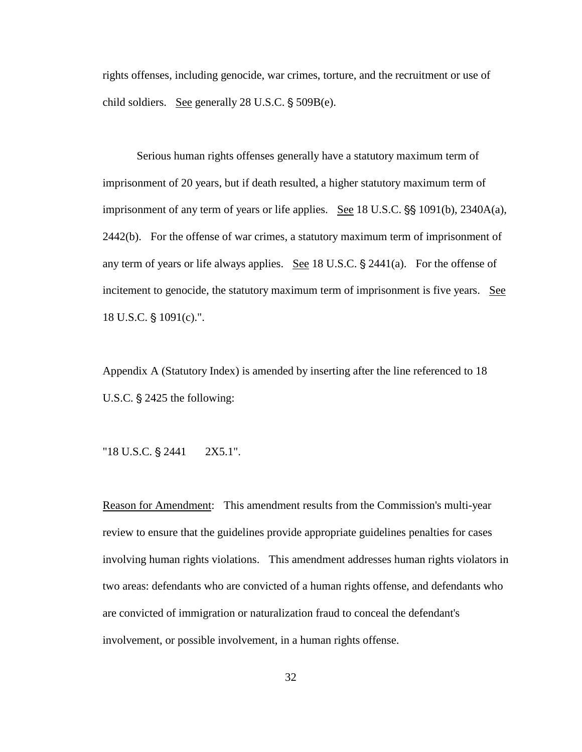rights offenses, including genocide, war crimes, torture, and the recruitment or use of child soldiers. See generally  $28 \text{ U.S.C.}$  §  $509B(e)$ .

Serious human rights offenses generally have a statutory maximum term of imprisonment of 20 years, but if death resulted, a higher statutory maximum term of imprisonment of any term of years or life applies. See  $18$  U.S.C.  $\S$  $\S$   $1091(b)$ ,  $2340A(a)$ , 2442(b). For the offense of war crimes, a statutory maximum term of imprisonment of any term of years or life always applies. See 18 U.S.C.  $\S$  2441(a). For the offense of incitement to genocide, the statutory maximum term of imprisonment is five years. See 18 U.S.C.  $\S$  1091(c).".

Appendix A (Statutory Index) is amended by inserting after the line referenced to 18 U.S.C.  $\S$  2425 the following:

" $18$  U.S.C.  $\S$  2441  $2X5.1$ ".

Reason for Amendment: This amendment results from the Commission's multi-year review to ensure that the guidelines provide appropriate guidelines penalties for cases involving human rights violations. This amendment addresses human rights violators in two areas: defendants who are convicted of a human rights offense, and defendants who are convicted of immigration or naturalization fraud to conceal the defendant's involvement, or possible involvement, in a human rights offense.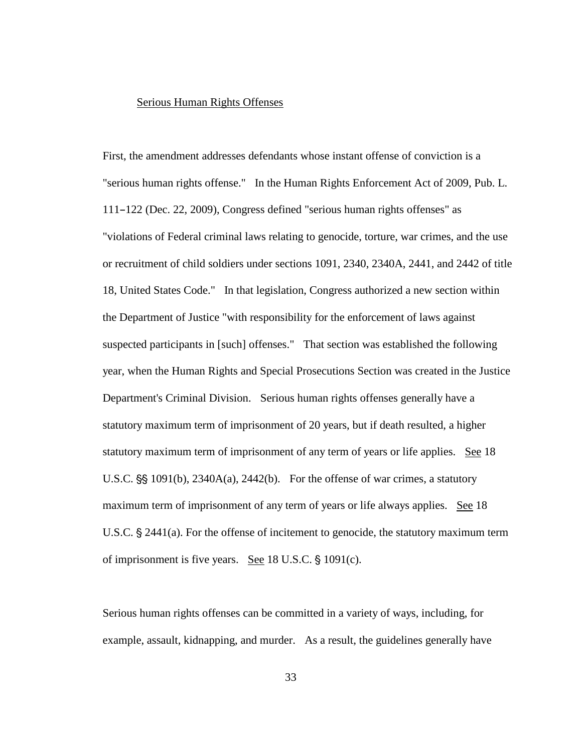#### Serious Human Rights Offenses

First, the amendment addresses defendants whose instant offense of conviction is a "serious human rights offense." In the Human Rights Enforcement Act of 2009, Pub. L.  $111-122$  (Dec. 22, 2009), Congress defined "serious human rights offenses" as "violations of Federal criminal laws relating to genocide, torture, war crimes, and the use or recruitment of child soldiers under sections 1091, 2340, 2340A, 2441, and 2442 of title 18, United States Code." In that legislation, Congress authorized a new section within the Department of Justice "with responsibility for the enforcement of laws against suspected participants in [such] offenses." That section was established the following year, when the Human Rights and Special Prosecutions Section was created in the Justice Department's Criminal Division. Serious human rights offenses generally have a statutory maximum term of imprisonment of 20 years, but if death resulted, a higher statutory maximum term of imprisonment of any term of years or life applies. See 18 U.S.C.  $\S$  1091(b), 2340A(a), 2442(b). For the offense of war crimes, a statutory maximum term of imprisonment of any term of years or life always applies. See 18 U.S.C.  $\S$  2441(a). For the offense of incitement to genocide, the statutory maximum term of imprisonment is five years. See  $18$  U.S.C.  $\S$   $1091(c)$ .

Serious human rights offenses can be committed in a variety of ways, including, for example, assault, kidnapping, and murder. As a result, the guidelines generally have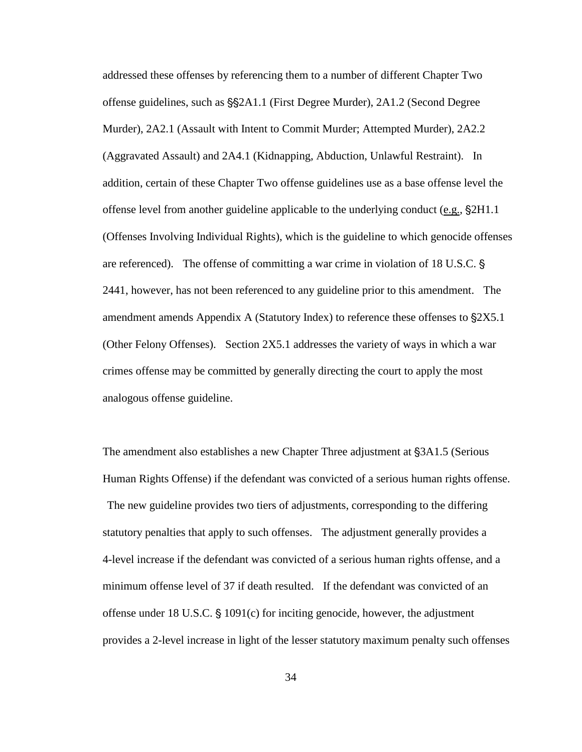addressed these offenses by referencing them to a number of different Chapter Two offense guidelines, such as  $\S$  $\$  $\Delta$ 1.1 (First Degree Murder), 2A1.2 (Second Degree Murder), 2A2.1 (Assault with Intent to Commit Murder; Attempted Murder), 2A2.2 (Aggravated Assault) and 2A4.1 (Kidnapping, Abduction, Unlawful Restraint). In addition, certain of these Chapter Two offense guidelines use as a base offense level the offense level from another guideline applicable to the underlying conduct (e.g.,  $\S2H1.1$ ) (Offenses Involving Individual Rights), which is the guideline to which genocide offenses are referenced). The offense of committing a war crime in violation of 18 U.S.C. ' 2441, however, has not been referenced to any guideline prior to this amendment. The amendment amends Appendix A (Statutory Index) to reference these offenses to  $\S 2X5.1$ (Other Felony Offenses). Section 2X5.1 addresses the variety of ways in which a war crimes offense may be committed by generally directing the court to apply the most analogous offense guideline.

The amendment also establishes a new Chapter Three adjustment at §3A1.5 (Serious Human Rights Offense) if the defendant was convicted of a serious human rights offense.

 The new guideline provides two tiers of adjustments, corresponding to the differing statutory penalties that apply to such offenses. The adjustment generally provides a 4-level increase if the defendant was convicted of a serious human rights offense, and a minimum offense level of 37 if death resulted. If the defendant was convicted of an offense under 18 U.S.C.  $\S$  1091(c) for inciting genocide, however, the adjustment provides a 2-level increase in light of the lesser statutory maximum penalty such offenses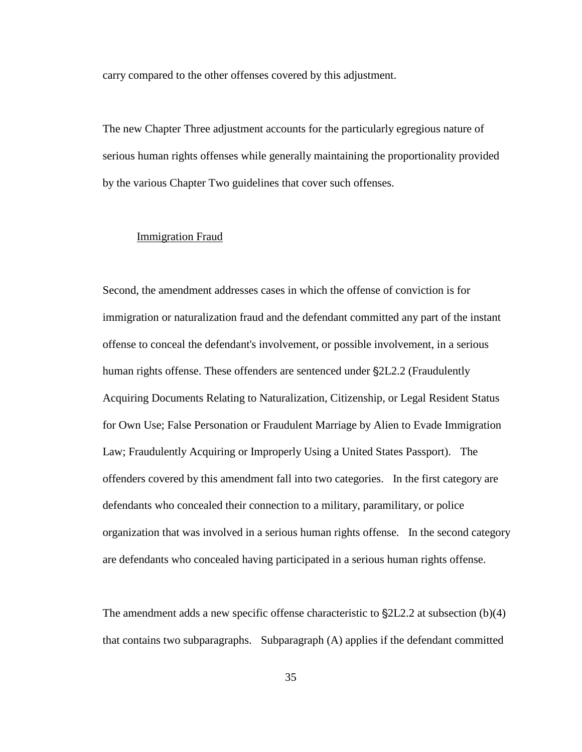carry compared to the other offenses covered by this adjustment.

The new Chapter Three adjustment accounts for the particularly egregious nature of serious human rights offenses while generally maintaining the proportionality provided by the various Chapter Two guidelines that cover such offenses.

## Immigration Fraud

Second, the amendment addresses cases in which the offense of conviction is for immigration or naturalization fraud and the defendant committed any part of the instant offense to conceal the defendant's involvement, or possible involvement, in a serious human rights offense. These offenders are sentenced under  $\S2L2.2$  (Fraudulently Acquiring Documents Relating to Naturalization, Citizenship, or Legal Resident Status for Own Use; False Personation or Fraudulent Marriage by Alien to Evade Immigration Law; Fraudulently Acquiring or Improperly Using a United States Passport). The offenders covered by this amendment fall into two categories. In the first category are defendants who concealed their connection to a military, paramilitary, or police organization that was involved in a serious human rights offense. In the second category are defendants who concealed having participated in a serious human rights offense.

The amendment adds a new specific offense characteristic to  $\S2L2.2$  at subsection (b)(4) that contains two subparagraphs. Subparagraph (A) applies if the defendant committed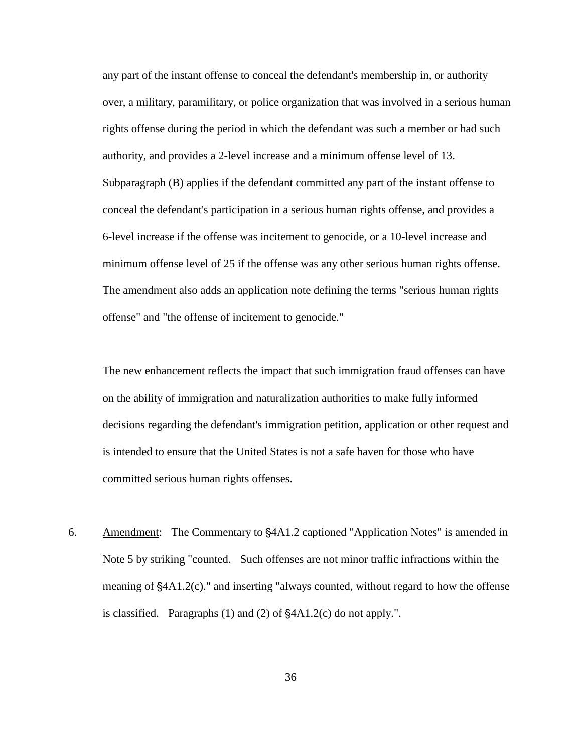any part of the instant offense to conceal the defendant's membership in, or authority over, a military, paramilitary, or police organization that was involved in a serious human rights offense during the period in which the defendant was such a member or had such authority, and provides a 2-level increase and a minimum offense level of 13. Subparagraph (B) applies if the defendant committed any part of the instant offense to conceal the defendant's participation in a serious human rights offense, and provides a 6-level increase if the offense was incitement to genocide, or a 10-level increase and minimum offense level of 25 if the offense was any other serious human rights offense. The amendment also adds an application note defining the terms "serious human rights offense" and "the offense of incitement to genocide."

The new enhancement reflects the impact that such immigration fraud offenses can have on the ability of immigration and naturalization authorities to make fully informed decisions regarding the defendant's immigration petition, application or other request and is intended to ensure that the United States is not a safe haven for those who have committed serious human rights offenses.

6. Amendment: The Commentary to  $\frac{1}{4}$ A1.2 captioned "Application Notes" is amended in Note 5 by striking "counted. Such offenses are not minor traffic infractions within the meaning of  $\frac{44A1.2(c)}{c}$  and inserting "always counted, without regard to how the offense is classified. Paragraphs  $(1)$  and  $(2)$  of  $\frac{1}{2}$ A1.2(c) do not apply.".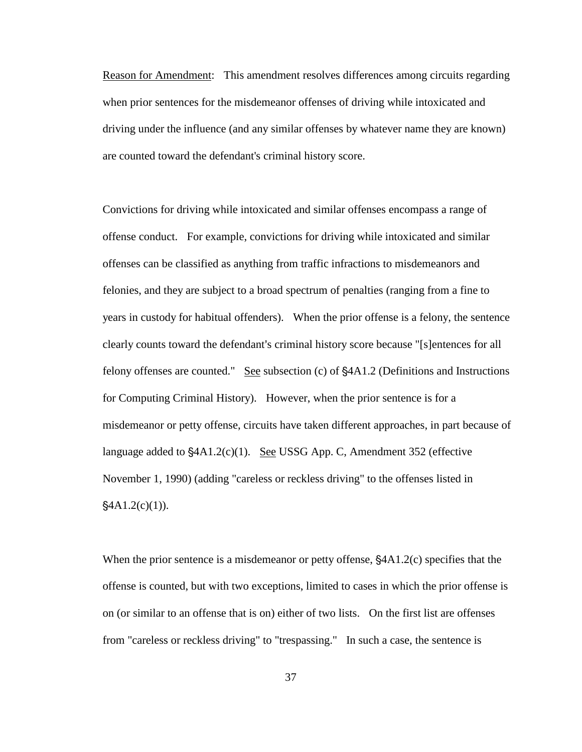Reason for Amendment: This amendment resolves differences among circuits regarding when prior sentences for the misdemeanor offenses of driving while intoxicated and driving under the influence (and any similar offenses by whatever name they are known) are counted toward the defendant's criminal history score.

Convictions for driving while intoxicated and similar offenses encompass a range of offense conduct. For example, convictions for driving while intoxicated and similar offenses can be classified as anything from traffic infractions to misdemeanors and felonies, and they are subject to a broad spectrum of penalties (ranging from a fine to years in custody for habitual offenders). When the prior offense is a felony, the sentence clearly counts toward the defendant's criminal history score because "[s]entences for all felony offenses are counted." See subsection  $(c)$  of  $§4A1.2$  (Definitions and Instructions for Computing Criminal History). However, when the prior sentence is for a misdemeanor or petty offense, circuits have taken different approaches, in part because of language added to  $$4A1.2(c)(1)$ . See USSG App. C, Amendment 352 (effective November 1, 1990) (adding "careless or reckless driving" to the offenses listed in  $\frac{24A1.2(c)(1)}{2}$ .

When the prior sentence is a misdemeanor or petty offense,  $\frac{64A1.2(c)}{c}$  specifies that the offense is counted, but with two exceptions, limited to cases in which the prior offense is on (or similar to an offense that is on) either of two lists. On the first list are offenses from "careless or reckless driving" to "trespassing." In such a case, the sentence is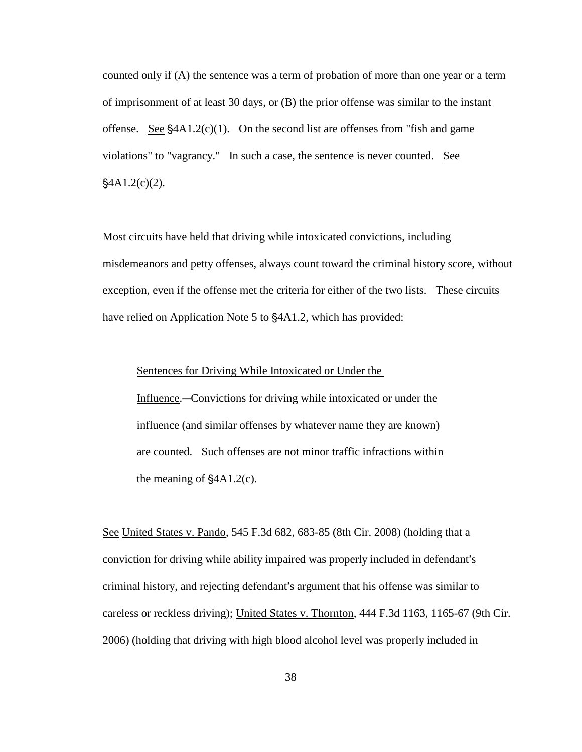counted only if (A) the sentence was a term of probation of more than one year or a term of imprisonment of at least 30 days, or (B) the prior offense was similar to the instant offense. See  $\frac{1}{2}$ 4A1.2(c)(1). On the second list are offenses from "fish and game" violations" to "vagrancy." In such a case, the sentence is never counted. See  $§4A1.2(c)(2)$ .

Most circuits have held that driving while intoxicated convictions, including misdemeanors and petty offenses, always count toward the criminal history score, without exception, even if the offense met the criteria for either of the two lists. These circuits have relied on Application Note 5 to  $§4A1.2$ , which has provided:

Sentences for Driving While Intoxicated or Under the

Influence.—Convictions for driving while intoxicated or under the influence (and similar offenses by whatever name they are known) are counted. Such offenses are not minor traffic infractions within the meaning of  $\frac{1}{2}$ A1.2(c).

See United States v. Pando, 545 F.3d 682, 683-85 (8th Cir. 2008) (holding that a conviction for driving while ability impaired was properly included in defendant's criminal history, and rejecting defendant's argument that his offense was similar to careless or reckless driving); United States v. Thornton, 444 F.3d 1163, 1165-67 (9th Cir. 2006) (holding that driving with high blood alcohol level was properly included in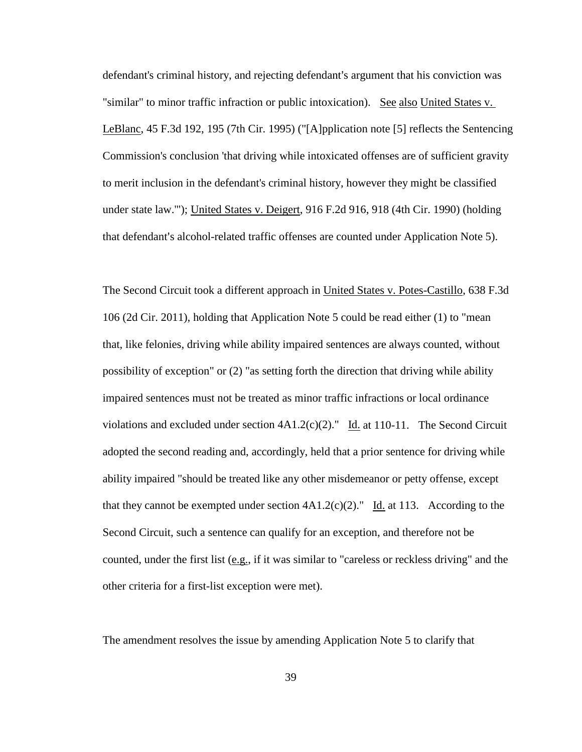defendant's criminal history, and rejecting defendant's argument that his conviction was "similar" to minor traffic infraction or public intoxication). See also United States v. LeBlanc, 45 F.3d 192, 195 (7th Cir. 1995) ("[A]pplication note [5] reflects the Sentencing Commission's conclusion 'that driving while intoxicated offenses are of sufficient gravity to merit inclusion in the defendant's criminal history, however they might be classified under state law.'"); United States v. Deigert, 916 F.2d 916, 918 (4th Cir. 1990) (holding that defendant's alcohol-related traffic offenses are counted under Application Note 5).

The Second Circuit took a different approach in United States v. Potes-Castillo, 638 F.3d 106 (2d Cir. 2011), holding that Application Note 5 could be read either (1) to "mean that, like felonies, driving while ability impaired sentences are always counted, without possibility of exception" or (2) "as setting forth the direction that driving while ability impaired sentences must not be treated as minor traffic infractions or local ordinance violations and excluded under section  $4A1.2(c)(2)$ ." Id. at 110-11. The Second Circuit adopted the second reading and, accordingly, held that a prior sentence for driving while ability impaired "should be treated like any other misdemeanor or petty offense, except that they cannot be exempted under section  $4A1.2(c)(2)$ ." Id. at 113. According to the Second Circuit, such a sentence can qualify for an exception, and therefore not be counted, under the first list (e.g., if it was similar to "careless or reckless driving" and the other criteria for a first-list exception were met).

The amendment resolves the issue by amending Application Note 5 to clarify that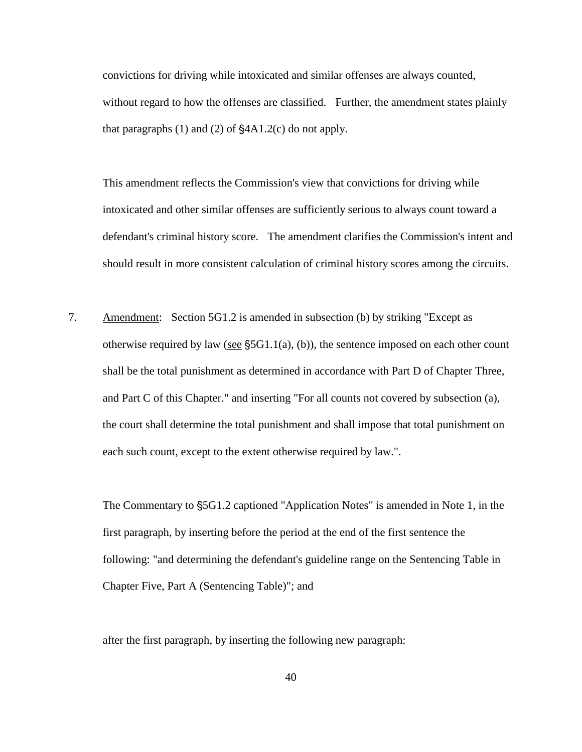convictions for driving while intoxicated and similar offenses are always counted, without regard to how the offenses are classified. Further, the amendment states plainly that paragraphs  $(1)$  and  $(2)$  of  $$4A1.2(c)$  do not apply.

This amendment reflects the Commission's view that convictions for driving while intoxicated and other similar offenses are sufficiently serious to always count toward a defendant's criminal history score. The amendment clarifies the Commission's intent and should result in more consistent calculation of criminal history scores among the circuits.

7. Amendment: Section 5G1.2 is amended in subsection (b) by striking "Except as otherwise required by law (see  $\S$ 5G1.1(a), (b)), the sentence imposed on each other count shall be the total punishment as determined in accordance with Part D of Chapter Three, and Part C of this Chapter." and inserting "For all counts not covered by subsection (a), the court shall determine the total punishment and shall impose that total punishment on each such count, except to the extent otherwise required by law.".

The Commentary to  $\S$ 5G1.2 captioned "Application Notes" is amended in Note 1, in the first paragraph, by inserting before the period at the end of the first sentence the following: "and determining the defendant's guideline range on the Sentencing Table in Chapter Five, Part A (Sentencing Table)"; and

after the first paragraph, by inserting the following new paragraph: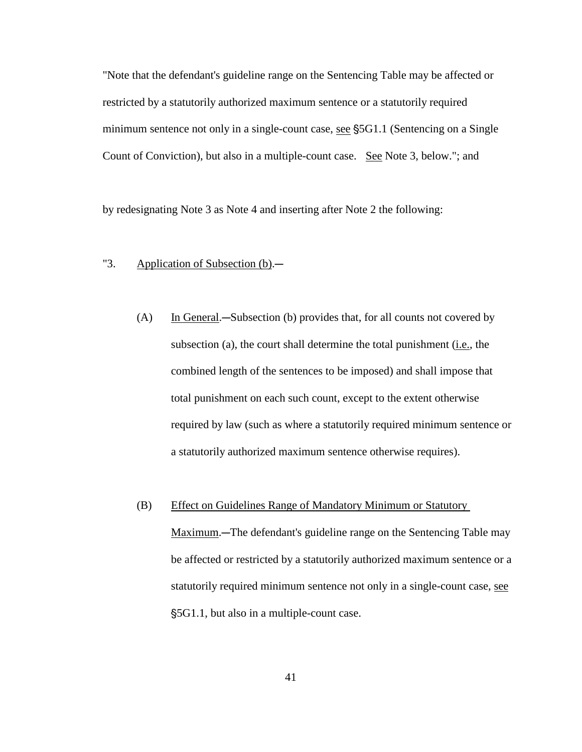"Note that the defendant's guideline range on the Sentencing Table may be affected or restricted by a statutorily authorized maximum sentence or a statutorily required minimum sentence not only in a single-count case, see  $\S$ 5G1.1 (Sentencing on a Single Count of Conviction), but also in a multiple-count case. See Note 3, below."; and

by redesignating Note 3 as Note 4 and inserting after Note 2 the following:

# "3. Application of Subsection  $(b)$ .

(A) In General.—Subsection (b) provides that, for all counts not covered by subsection (a), the court shall determine the total punishment (i.e., the combined length of the sentences to be imposed) and shall impose that total punishment on each such count, except to the extent otherwise required by law (such as where a statutorily required minimum sentence or a statutorily authorized maximum sentence otherwise requires).

#### (B) Effect on Guidelines Range of Mandatory Minimum or Statutory

Maximum.—The defendant's guideline range on the Sentencing Table may be affected or restricted by a statutorily authorized maximum sentence or a statutorily required minimum sentence not only in a single-count case, see '5G1.1, but also in a multiple-count case.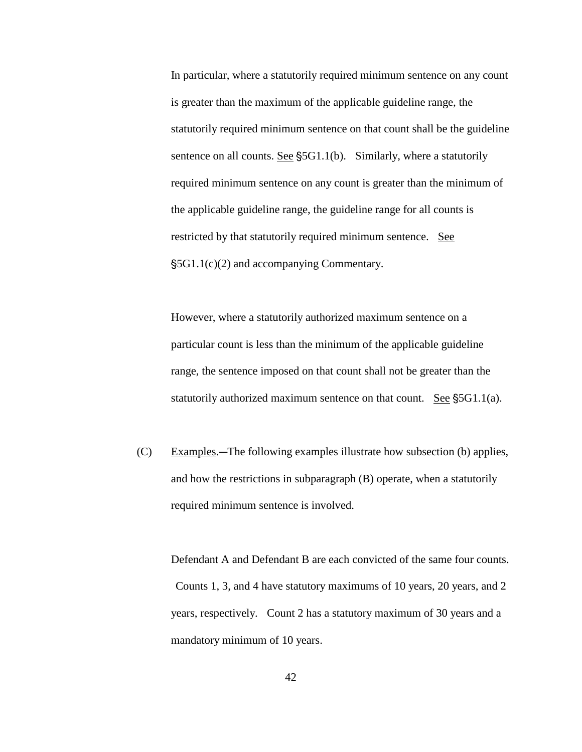In particular, where a statutorily required minimum sentence on any count is greater than the maximum of the applicable guideline range, the statutorily required minimum sentence on that count shall be the guideline sentence on all counts. See  $\S$ 5G1.1(b). Similarly, where a statutorily required minimum sentence on any count is greater than the minimum of the applicable guideline range, the guideline range for all counts is restricted by that statutorily required minimum sentence. See '5G1.1(c)(2) and accompanying Commentary.

However, where a statutorily authorized maximum sentence on a particular count is less than the minimum of the applicable guideline range, the sentence imposed on that count shall not be greater than the statutorily authorized maximum sentence on that count. See  $\S$ 5G1.1(a).

 $(C)$  Examples.—The following examples illustrate how subsection (b) applies, and how the restrictions in subparagraph (B) operate, when a statutorily required minimum sentence is involved.

Defendant A and Defendant B are each convicted of the same four counts. Counts 1, 3, and 4 have statutory maximums of 10 years, 20 years, and 2 years, respectively. Count 2 has a statutory maximum of 30 years and a mandatory minimum of 10 years.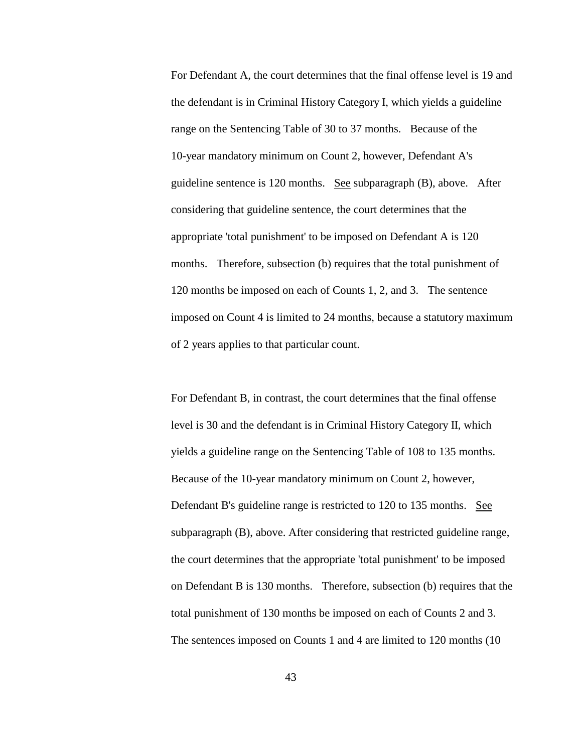For Defendant A, the court determines that the final offense level is 19 and the defendant is in Criminal History Category I, which yields a guideline range on the Sentencing Table of 30 to 37 months. Because of the 10-year mandatory minimum on Count 2, however, Defendant A's guideline sentence is 120 months. See subparagraph (B), above. After considering that guideline sentence, the court determines that the appropriate 'total punishment' to be imposed on Defendant A is 120 months. Therefore, subsection (b) requires that the total punishment of 120 months be imposed on each of Counts 1, 2, and 3. The sentence imposed on Count 4 is limited to 24 months, because a statutory maximum of 2 years applies to that particular count.

For Defendant B, in contrast, the court determines that the final offense level is 30 and the defendant is in Criminal History Category II, which yields a guideline range on the Sentencing Table of 108 to 135 months. Because of the 10-year mandatory minimum on Count 2, however, Defendant B's guideline range is restricted to 120 to 135 months. See subparagraph (B), above. After considering that restricted guideline range, the court determines that the appropriate 'total punishment' to be imposed on Defendant B is 130 months. Therefore, subsection (b) requires that the total punishment of 130 months be imposed on each of Counts 2 and 3. The sentences imposed on Counts 1 and 4 are limited to 120 months (10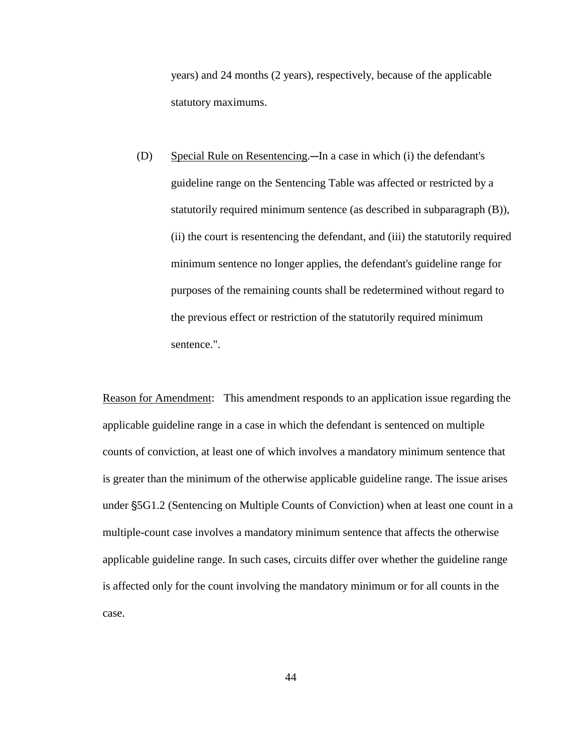years) and 24 months (2 years), respectively, because of the applicable statutory maximums.

(D) Special Rule on Resentencing.—In a case in which (i) the defendant's guideline range on the Sentencing Table was affected or restricted by a statutorily required minimum sentence (as described in subparagraph (B)), (ii) the court is resentencing the defendant, and (iii) the statutorily required minimum sentence no longer applies, the defendant's guideline range for purposes of the remaining counts shall be redetermined without regard to the previous effect or restriction of the statutorily required minimum sentence.".

Reason for Amendment: This amendment responds to an application issue regarding the applicable guideline range in a case in which the defendant is sentenced on multiple counts of conviction, at least one of which involves a mandatory minimum sentence that is greater than the minimum of the otherwise applicable guideline range. The issue arises under §5G1.2 (Sentencing on Multiple Counts of Conviction) when at least one count in a multiple-count case involves a mandatory minimum sentence that affects the otherwise applicable guideline range. In such cases, circuits differ over whether the guideline range is affected only for the count involving the mandatory minimum or for all counts in the case.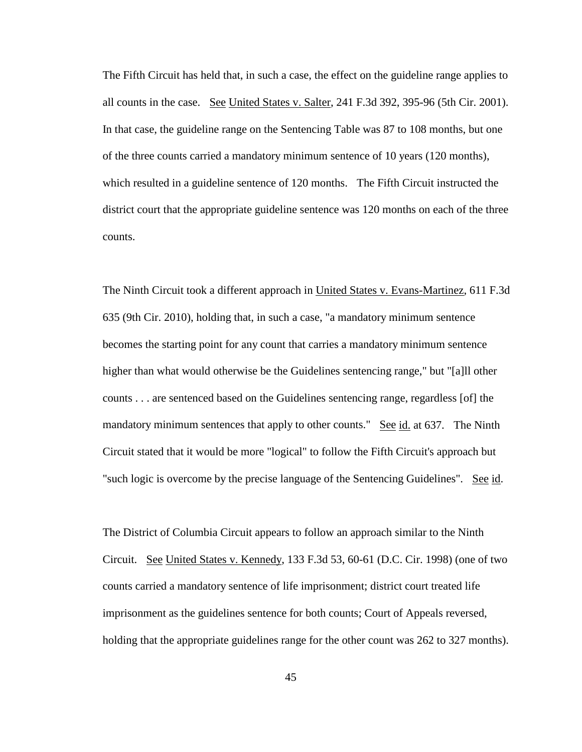The Fifth Circuit has held that, in such a case, the effect on the guideline range applies to all counts in the case. See United States v. Salter, 241 F.3d 392, 395-96 (5th Cir. 2001). In that case, the guideline range on the Sentencing Table was 87 to 108 months, but one of the three counts carried a mandatory minimum sentence of 10 years (120 months), which resulted in a guideline sentence of 120 months. The Fifth Circuit instructed the district court that the appropriate guideline sentence was 120 months on each of the three counts.

The Ninth Circuit took a different approach in United States v. Evans-Martinez, 611 F.3d 635 (9th Cir. 2010), holding that, in such a case, "a mandatory minimum sentence becomes the starting point for any count that carries a mandatory minimum sentence higher than what would otherwise be the Guidelines sentencing range," but "[a]ll other counts . . . are sentenced based on the Guidelines sentencing range, regardless [of] the mandatory minimum sentences that apply to other counts." See id. at 637. The Ninth Circuit stated that it would be more "logical" to follow the Fifth Circuit's approach but "such logic is overcome by the precise language of the Sentencing Guidelines". See id.

The District of Columbia Circuit appears to follow an approach similar to the Ninth Circuit. See United States v. Kennedy, 133 F.3d 53, 60-61 (D.C. Cir. 1998) (one of two counts carried a mandatory sentence of life imprisonment; district court treated life imprisonment as the guidelines sentence for both counts; Court of Appeals reversed, holding that the appropriate guidelines range for the other count was 262 to 327 months).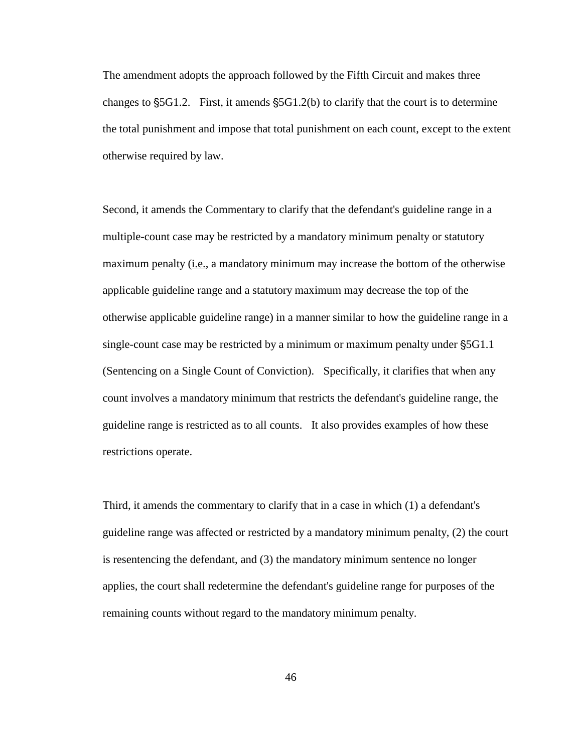The amendment adopts the approach followed by the Fifth Circuit and makes three changes to  $\S$ 5G1.2. First, it amends  $\S$ 5G1.2(b) to clarify that the court is to determine the total punishment and impose that total punishment on each count, except to the extent otherwise required by law.

Second, it amends the Commentary to clarify that the defendant's guideline range in a multiple-count case may be restricted by a mandatory minimum penalty or statutory maximum penalty (i.e., a mandatory minimum may increase the bottom of the otherwise applicable guideline range and a statutory maximum may decrease the top of the otherwise applicable guideline range) in a manner similar to how the guideline range in a single-count case may be restricted by a minimum or maximum penalty under §5G1.1 (Sentencing on a Single Count of Conviction). Specifically, it clarifies that when any count involves a mandatory minimum that restricts the defendant's guideline range, the guideline range is restricted as to all counts. It also provides examples of how these restrictions operate.

Third, it amends the commentary to clarify that in a case in which (1) a defendant's guideline range was affected or restricted by a mandatory minimum penalty, (2) the court is resentencing the defendant, and (3) the mandatory minimum sentence no longer applies, the court shall redetermine the defendant's guideline range for purposes of the remaining counts without regard to the mandatory minimum penalty.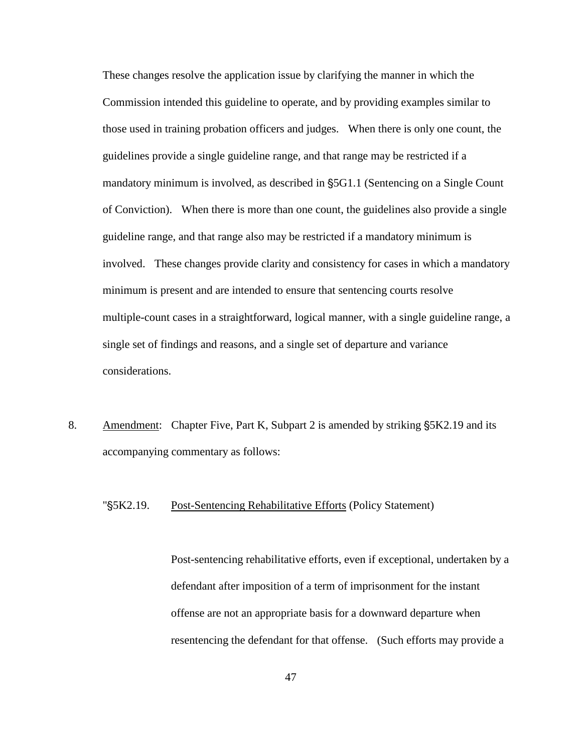These changes resolve the application issue by clarifying the manner in which the Commission intended this guideline to operate, and by providing examples similar to those used in training probation officers and judges. When there is only one count, the guidelines provide a single guideline range, and that range may be restricted if a mandatory minimum is involved, as described in  $\S$ 5G1.1 (Sentencing on a Single Count of Conviction). When there is more than one count, the guidelines also provide a single guideline range, and that range also may be restricted if a mandatory minimum is involved. These changes provide clarity and consistency for cases in which a mandatory minimum is present and are intended to ensure that sentencing courts resolve multiple-count cases in a straightforward, logical manner, with a single guideline range, a single set of findings and reasons, and a single set of departure and variance considerations.

8. Amendment: Chapter Five, Part K, Subpart 2 is amended by striking §5K2.19 and its accompanying commentary as follows:

## "'5K2.19. Post-Sentencing Rehabilitative Efforts (Policy Statement)

Post-sentencing rehabilitative efforts, even if exceptional, undertaken by a defendant after imposition of a term of imprisonment for the instant offense are not an appropriate basis for a downward departure when resentencing the defendant for that offense. (Such efforts may provide a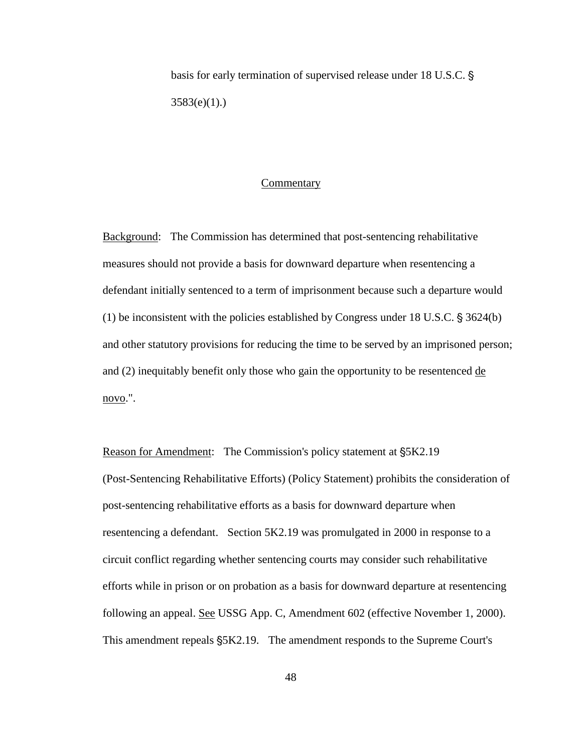basis for early termination of supervised release under 18 U.S.C. §  $3583(e)(1)$ .)

### **Commentary**

Background: The Commission has determined that post-sentencing rehabilitative measures should not provide a basis for downward departure when resentencing a defendant initially sentenced to a term of imprisonment because such a departure would (1) be inconsistent with the policies established by Congress under 18 U.S.C.  $\S 3624(b)$ and other statutory provisions for reducing the time to be served by an imprisoned person; and (2) inequitably benefit only those who gain the opportunity to be resentenced de novo.".

Reason for Amendment: The Commission's policy statement at  $\S 5K2.19$ (Post-Sentencing Rehabilitative Efforts) (Policy Statement) prohibits the consideration of post-sentencing rehabilitative efforts as a basis for downward departure when resentencing a defendant. Section 5K2.19 was promulgated in 2000 in response to a circuit conflict regarding whether sentencing courts may consider such rehabilitative efforts while in prison or on probation as a basis for downward departure at resentencing following an appeal. See USSG App. C, Amendment 602 (effective November 1, 2000). This amendment repeals  $\S$ 5K2.19. The amendment responds to the Supreme Court's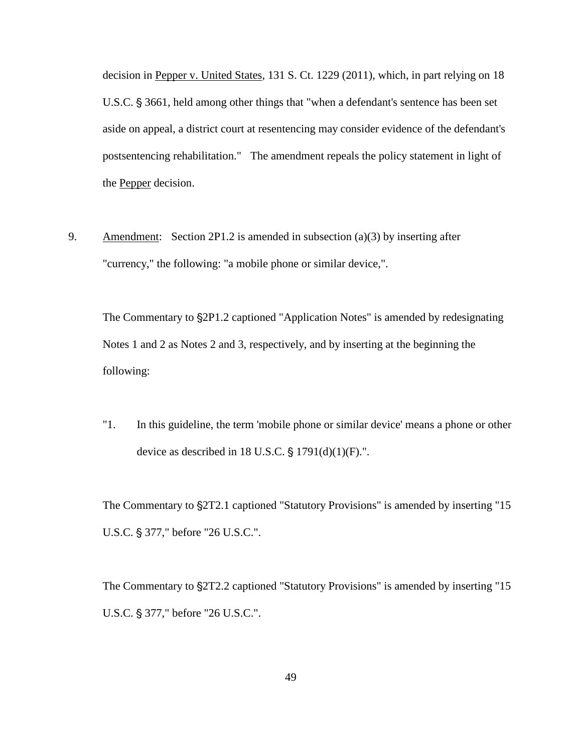decision in Pepper v. United States, 131 S. Ct. 1229 (2011), which, in part relying on 18 U.S.C. § 3661, held among other things that "when a defendant's sentence has been set aside on appeal, a district court at resentencing may consider evidence of the defendant's postsentencing rehabilitation." The amendment repeals the policy statement in light of the Pepper decision.

9. Amendment: Section 2P1.2 is amended in subsection (a)(3) by inserting after "currency," the following: "a mobile phone or similar device,".

The Commentary to  $\S 2P1.2$  captioned "Application Notes" is amended by redesignating Notes 1 and 2 as Notes 2 and 3, respectively, and by inserting at the beginning the following:

"1. In this guideline, the term 'mobile phone or similar device' means a phone or other device as described in 18 U.S.C.  $\S$  1791(d)(1)(F).".

The Commentary to  $\S2T2.1$  captioned "Statutory Provisions" is amended by inserting "15 U.S.C. § 377," before "26 U.S.C.".

The Commentary to  $\S2T2.2$  captioned "Statutory Provisions" is amended by inserting "15 U.S.C. § 377," before "26 U.S.C.".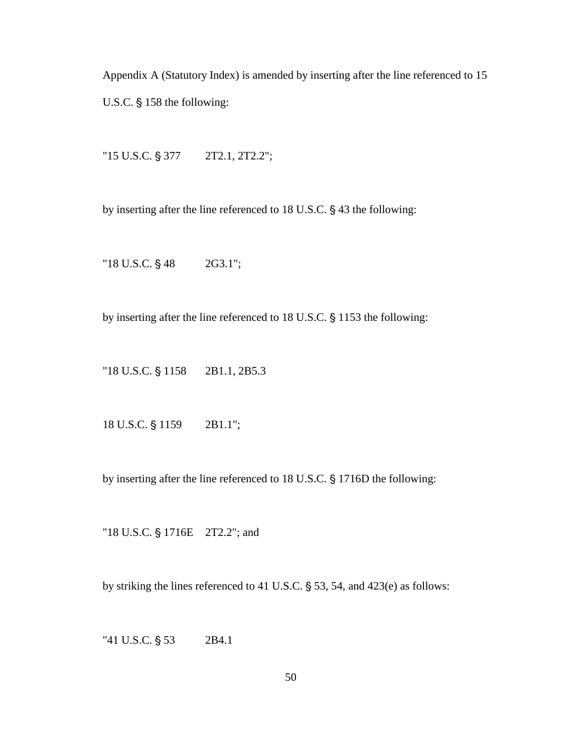Appendix A (Statutory Index) is amended by inserting after the line referenced to 15 U.S.C.  $§$  158 the following:

" $15$  U.S.C.  $\S$  377  $2T2.1, 2T2.2$ ";

by inserting after the line referenced to  $18$  U.S.C.  $\S$  43 the following:

" $18$  U.S.C.  $\S$  48  $2G3.1$ ";

by inserting after the line referenced to 18 U.S.C. § 1153 the following:

"18 U.S.C.  $\S$  1158 2B1.1, 2B5.3

18 U.S.C. § 1159 2B1.1";

by inserting after the line referenced to 18 U.S.C. § 1716D the following:

"18 U.S.C. § 1716E 2T2.2"; and

by striking the lines referenced to 41 U.S.C.  $\S$  53, 54, and 423(e) as follows:

" $41$  U.S.C.  $\S$  53 2B4.1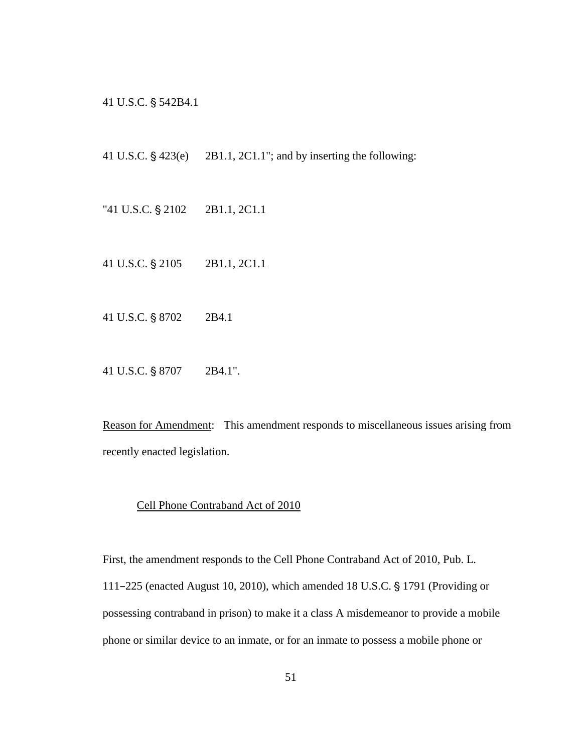41 U.S.C. § 542B4.1

41 U.S.C.  $\frac{6}{9}$  423(e) 2B1.1, 2C1.1"; and by inserting the following:

- "41 U.S.C.  $\S 2102$  2B1.1, 2C1.1
- 41 U.S.C. § 2105 2B1.1, 2C1.1
- 41 U.S.C. § 8702 2B4.1
- 41 U.S.C. § 8707 2B4.1".

Reason for Amendment: This amendment responds to miscellaneous issues arising from recently enacted legislation.

### Cell Phone Contraband Act of 2010

First, the amendment responds to the Cell Phone Contraband Act of 2010, Pub. L. 111-225 (enacted August 10, 2010), which amended 18 U.S.C.  $\S$  1791 (Providing or possessing contraband in prison) to make it a class A misdemeanor to provide a mobile phone or similar device to an inmate, or for an inmate to possess a mobile phone or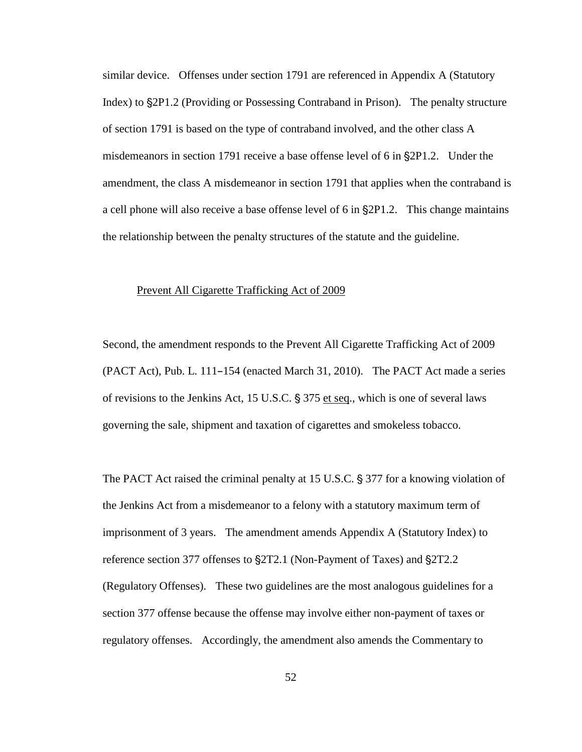similar device. Offenses under section 1791 are referenced in Appendix A (Statutory Index) to  $\S 2P1.2$  (Providing or Possessing Contraband in Prison). The penalty structure of section 1791 is based on the type of contraband involved, and the other class A misdemeanors in section 1791 receive a base offense level of 6 in §2P1.2. Under the amendment, the class A misdemeanor in section 1791 that applies when the contraband is a cell phone will also receive a base offense level of 6 in  $\S 2P1.2$ . This change maintains the relationship between the penalty structures of the statute and the guideline.

# Prevent All Cigarette Trafficking Act of 2009

Second, the amendment responds to the Prevent All Cigarette Trafficking Act of 2009  $(PACT Act)$ , Pub. L. 111–154 (enacted March 31, 2010). The PACT Act made a series of revisions to the Jenkins Act, 15 U.S.C.  $\S 375$  et seq., which is one of several laws governing the sale, shipment and taxation of cigarettes and smokeless tobacco.

The PACT Act raised the criminal penalty at 15 U.S.C.  $\S 377$  for a knowing violation of the Jenkins Act from a misdemeanor to a felony with a statutory maximum term of imprisonment of 3 years. The amendment amends Appendix A (Statutory Index) to reference section 377 offenses to  $\S 2T2.1$  (Non-Payment of Taxes) and  $\S 2T2.2$ (Regulatory Offenses). These two guidelines are the most analogous guidelines for a section 377 offense because the offense may involve either non-payment of taxes or regulatory offenses. Accordingly, the amendment also amends the Commentary to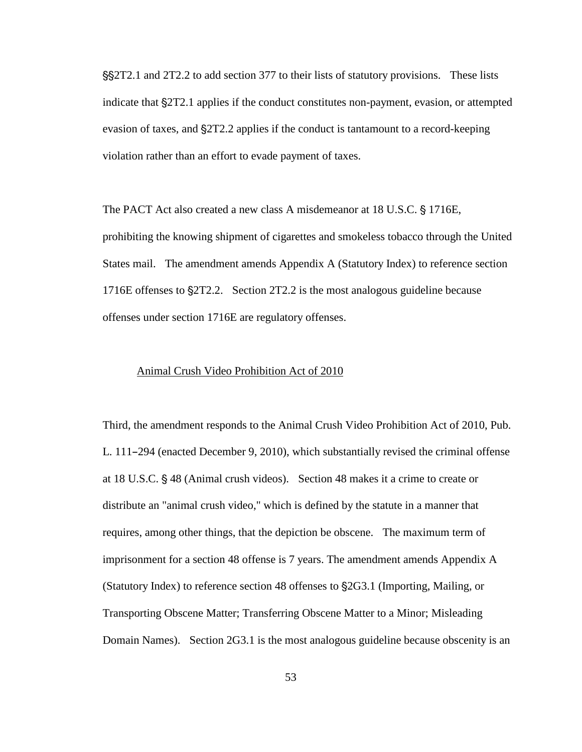''2T2.1 and 2T2.2 to add section 377 to their lists of statutory provisions. These lists indicate that  $\S 2T2.1$  applies if the conduct constitutes non-payment, evasion, or attempted evasion of taxes, and  $\S2T2.2$  applies if the conduct is tantamount to a record-keeping violation rather than an effort to evade payment of taxes.

The PACT Act also created a new class A misdemeanor at 18 U.S.C. § 1716E, prohibiting the knowing shipment of cigarettes and smokeless tobacco through the United States mail. The amendment amends Appendix A (Statutory Index) to reference section 1716E offenses to  $\S2T2.2$ . Section 2T2.2 is the most analogous guideline because offenses under section 1716E are regulatory offenses.

### Animal Crush Video Prohibition Act of 2010

Third, the amendment responds to the Animal Crush Video Prohibition Act of 2010, Pub. L. 111-294 (enacted December 9, 2010), which substantially revised the criminal offense at 18 U.S.C.  $\S$  48 (Animal crush videos). Section 48 makes it a crime to create or distribute an "animal crush video," which is defined by the statute in a manner that requires, among other things, that the depiction be obscene. The maximum term of imprisonment for a section 48 offense is 7 years. The amendment amends Appendix A (Statutory Index) to reference section 48 offenses to  $\S 2G3.1$  (Importing, Mailing, or Transporting Obscene Matter; Transferring Obscene Matter to a Minor; Misleading Domain Names). Section 2G3.1 is the most analogous guideline because obscenity is an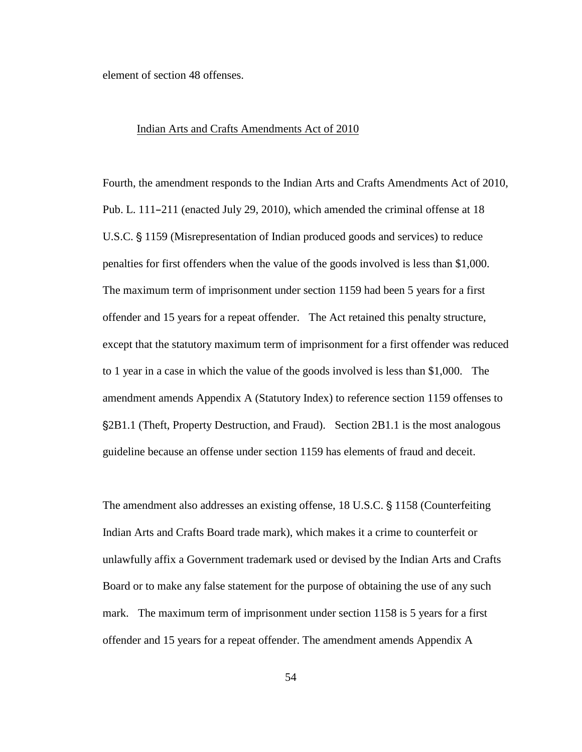element of section 48 offenses.

#### Indian Arts and Crafts Amendments Act of 2010

Fourth, the amendment responds to the Indian Arts and Crafts Amendments Act of 2010, Pub. L.  $111-211$  (enacted July 29, 2010), which amended the criminal offense at 18 U.S.C. § 1159 (Misrepresentation of Indian produced goods and services) to reduce penalties for first offenders when the value of the goods involved is less than \$1,000. The maximum term of imprisonment under section 1159 had been 5 years for a first offender and 15 years for a repeat offender. The Act retained this penalty structure, except that the statutory maximum term of imprisonment for a first offender was reduced to 1 year in a case in which the value of the goods involved is less than \$1,000. The amendment amends Appendix A (Statutory Index) to reference section 1159 offenses to '2B1.1 (Theft, Property Destruction, and Fraud). Section 2B1.1 is the most analogous guideline because an offense under section 1159 has elements of fraud and deceit.

The amendment also addresses an existing offense, 18 U.S.C. § 1158 (Counterfeiting Indian Arts and Crafts Board trade mark), which makes it a crime to counterfeit or unlawfully affix a Government trademark used or devised by the Indian Arts and Crafts Board or to make any false statement for the purpose of obtaining the use of any such mark. The maximum term of imprisonment under section 1158 is 5 years for a first offender and 15 years for a repeat offender. The amendment amends Appendix A